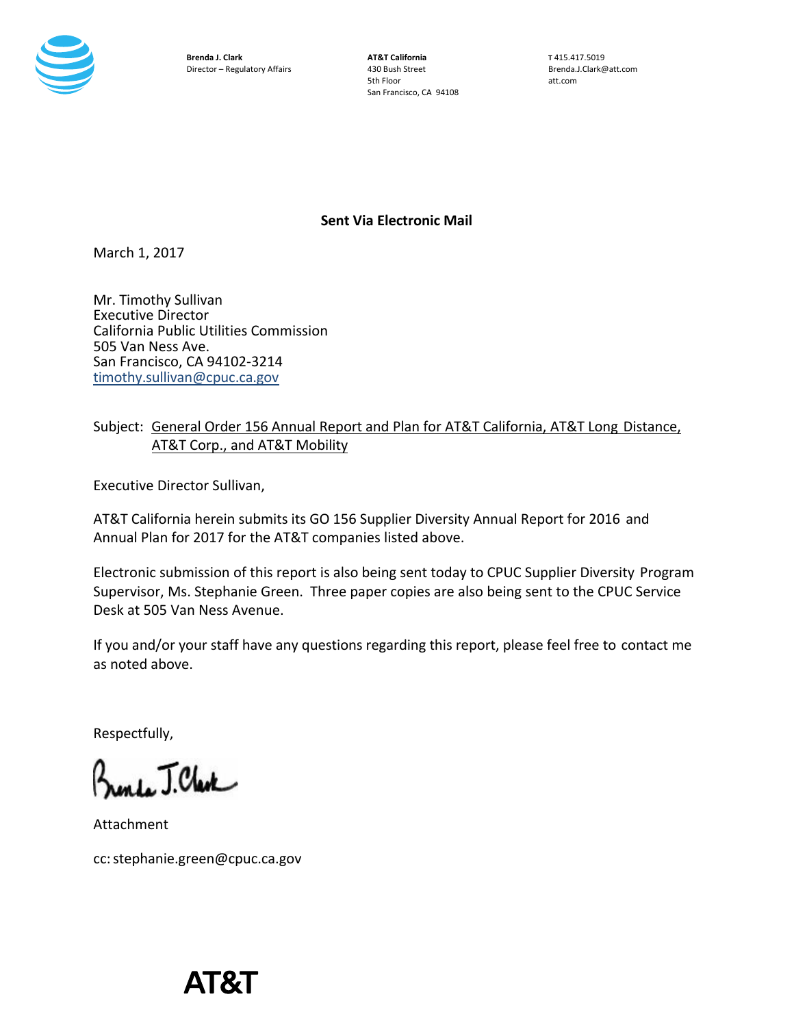

**AT&T California** 430 Bush Street 5th Floor San Francisco, CA 94108

**T** 415.417.5019 Brenda.J.Clark@att.com att.com

**Sent Via Electronic Mail**

March 1, 2017

Mr. Timothy Sullivan Executive Director California Public Utilities Commission 505 Van Ness Ave. San Francisco, CA 94102‐3214 timothy.sullivan@cpuc.ca.gov

#### Subject: General Order 156 Annual Report and Plan for AT&T California, AT&T Long Distance, AT&T Corp., and AT&T Mobility

Executive Director Sullivan,

AT&T California herein submits its GO 156 Supplier Diversity Annual Report for 2016 and Annual Plan for 2017 for the AT&T companies listed above.

Electronic submission of this report is also being sent today to CPUC Supplier Diversity Program Supervisor, Ms. Stephanie Green. Three paper copies are also being sent to the CPUC Service Desk at 505 Van Ness Avenue.

If you and/or your staff have any questions regarding this report, please feel free to contact me as noted above.

Respectfully,

Brute J.Clark

Attachment cc:stephanie.green@cpuc.ca.gov

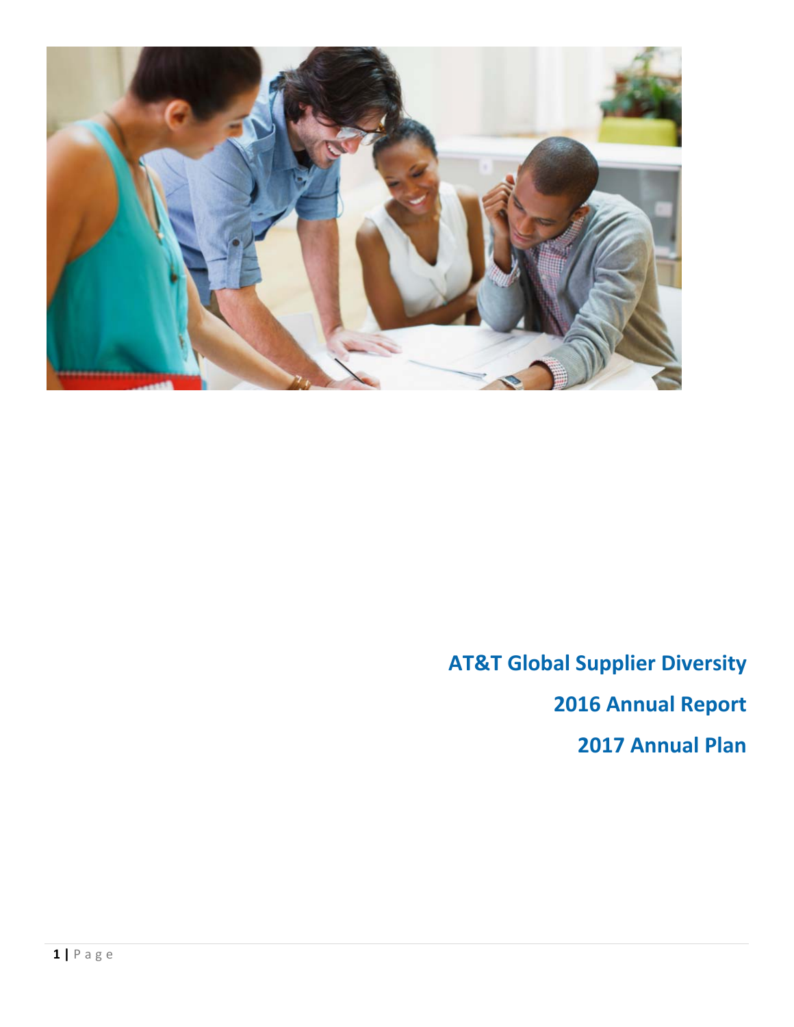

**AT&T Global Supplier Diversity 2016 Annual Report 2017 Annual Plan**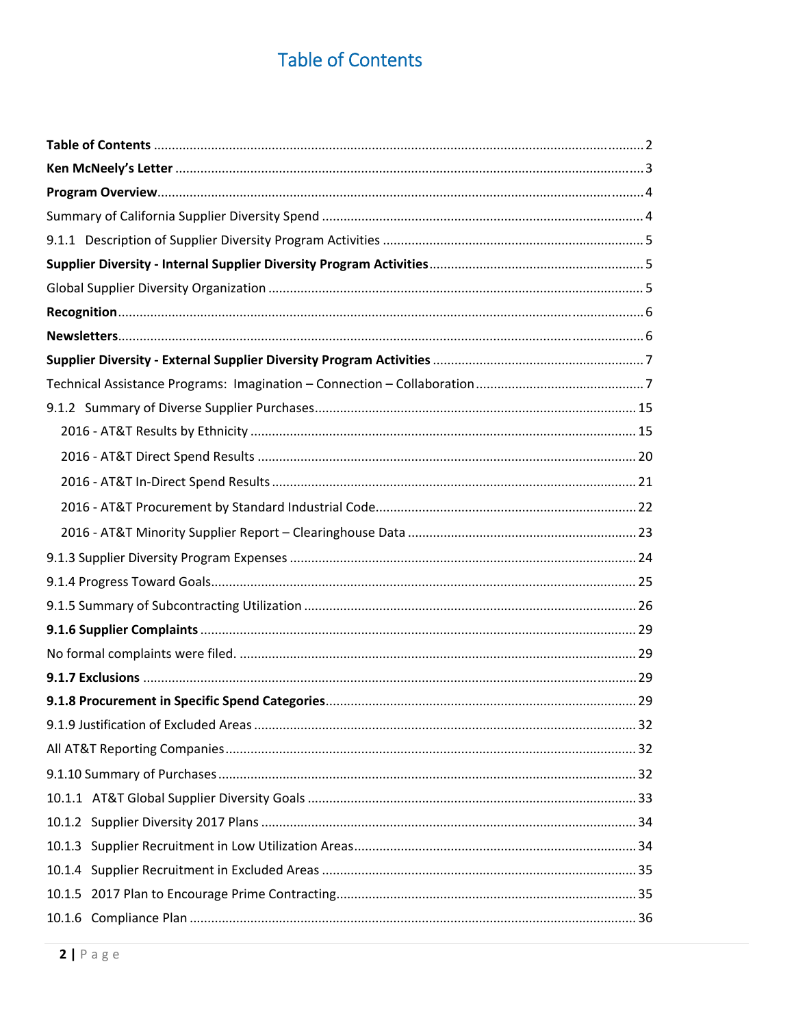# **Table of Contents**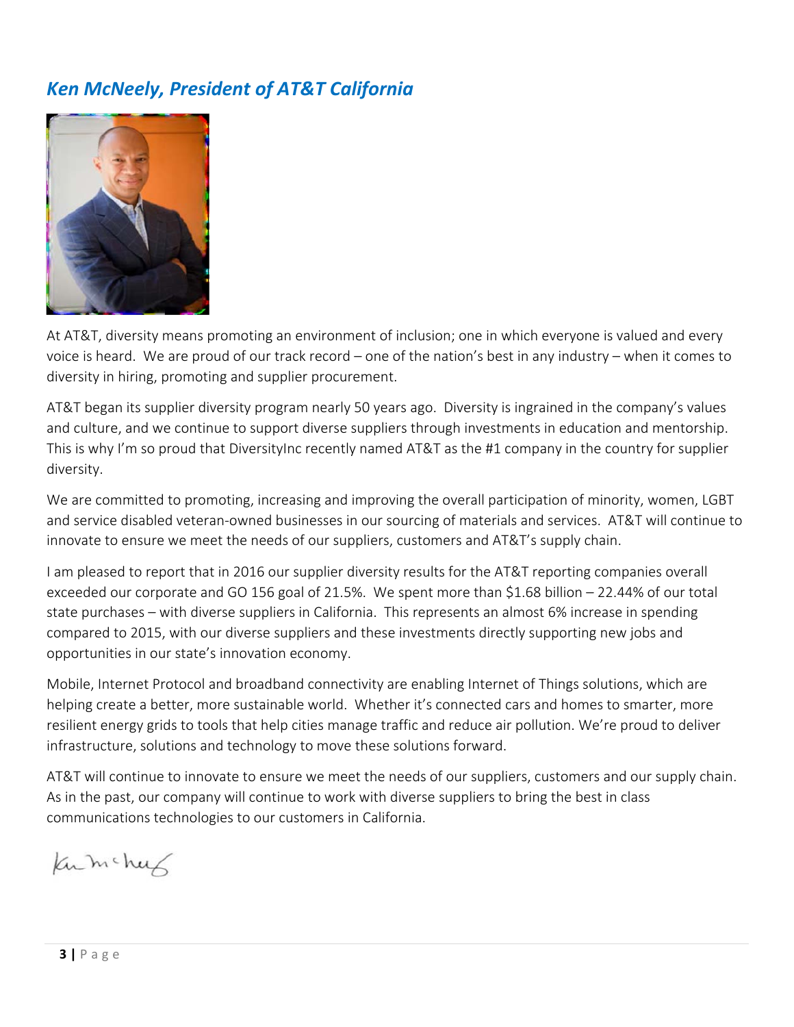## *Ken McNeely, President of AT&T California*



At AT&T, diversity means promoting an environment of inclusion; one in which everyone is valued and every voice is heard. We are proud of our track record – one of the nation's best in any industry – when it comes to diversity in hiring, promoting and supplier procurement.

AT&T began its supplier diversity program nearly 50 years ago. Diversity is ingrained in the company's values and culture, and we continue to support diverse suppliers through investments in education and mentorship. This is why I'm so proud that DiversityInc recently named AT&T as the #1 company in the country for supplier diversity.

We are committed to promoting, increasing and improving the overall participation of minority, women, LGBT and service disabled veteran‐owned businesses in our sourcing of materials and services. AT&T will continue to innovate to ensure we meet the needs of our suppliers, customers and AT&T's supply chain.

I am pleased to report that in 2016 our supplier diversity results for the AT&T reporting companies overall exceeded our corporate and GO 156 goal of 21.5%. We spent more than \$1.68 billion – 22.44% of our total state purchases – with diverse suppliers in California. This represents an almost 6% increase in spending compared to 2015, with our diverse suppliers and these investments directly supporting new jobs and opportunities in our state's innovation economy.

Mobile, Internet Protocol and broadband connectivity are enabling Internet of Things solutions, which are helping create a better, more sustainable world. Whether it's connected cars and homes to smarter, more resilient energy grids to tools that help cities manage traffic and reduce air pollution. We're proud to deliver infrastructure, solutions and technology to move these solutions forward.

AT&T will continue to innovate to ensure we meet the needs of our suppliers, customers and our supply chain. As in the past, our company will continue to work with diverse suppliers to bring the best in class communications technologies to our customers in California.

Kumchuk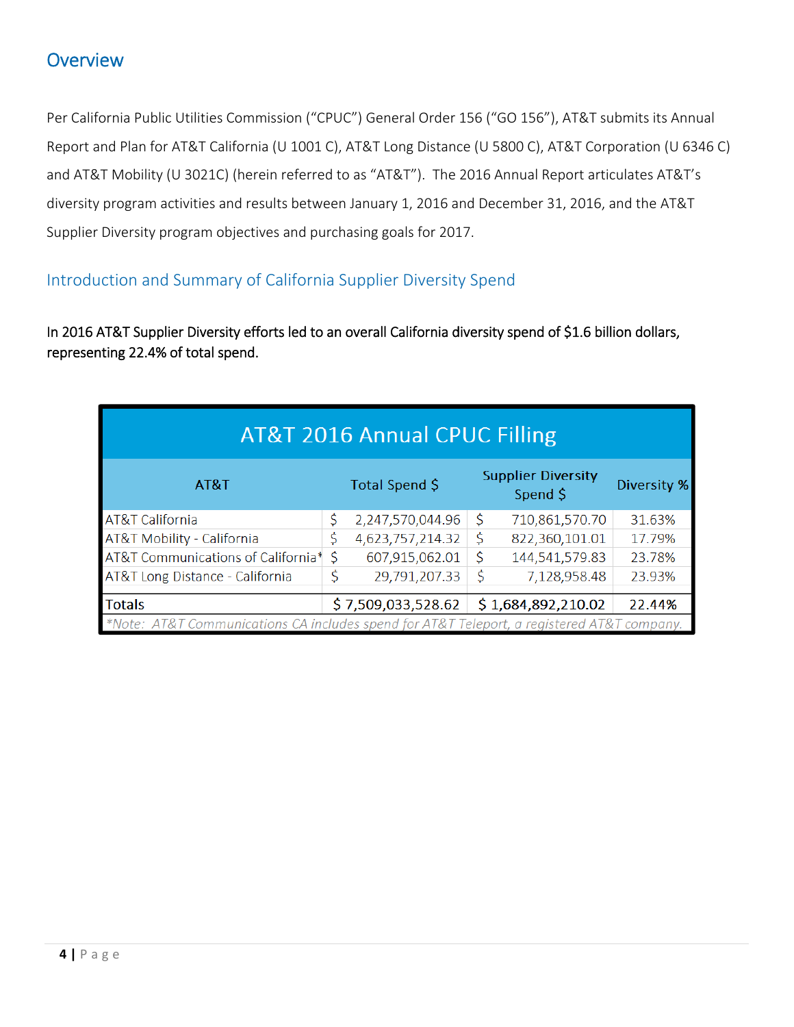## **Overview**

Per California Public Utilities Commission ("CPUC") General Order 156 ("GO 156"), AT&T submits its Annual Report and Plan for AT&T California (U 1001 C), AT&T Long Distance (U 5800 C), AT&T Corporation (U 6346 C) and AT&T Mobility (U 3021C) (herein referred to as "AT&T"). The 2016 Annual Report articulates AT&T's diversity program activities and results between January 1, 2016 and December 31, 2016, and the AT&T Supplier Diversity program objectives and purchasing goals for 2017.

### Introduction and Summary of California Supplier Diversity Spend

In 2016 AT&T Supplier Diversity efforts led to an overall California diversity spend of \$1.6 billion dollars, representing 22.4% of total spend.

| <b>AT&amp;T 2016 Annual CPUC Filling</b>                                                   |    |                    |    |                                       |             |  |  |  |  |  |  |  |  |
|--------------------------------------------------------------------------------------------|----|--------------------|----|---------------------------------------|-------------|--|--|--|--|--|--|--|--|
| AT&T                                                                                       |    | Total Spend \$     |    | <b>Supplier Diversity</b><br>Spend \$ | Diversity % |  |  |  |  |  |  |  |  |
| AT&T California                                                                            | \$ | 2,247,570,044.96   | \$ | 710,861,570.70                        | 31.63%      |  |  |  |  |  |  |  |  |
| AT&T Mobility - California                                                                 | \$ | 4,623,757,214.32   | \$ | 822,360,101.01                        | 17.79%      |  |  |  |  |  |  |  |  |
| AT&T Communications of California*                                                         | \$ | 607,915,062.01     | \$ | 144,541,579.83                        | 23.78%      |  |  |  |  |  |  |  |  |
| AT&T Long Distance - California                                                            | \$ | 29,791,207.33      | \$ | 7,128,958.48                          | 23.93%      |  |  |  |  |  |  |  |  |
| <b>Totals</b>                                                                              |    | \$7,509,033,528.62 |    | \$1,684,892,210.02                    | 22.44%      |  |  |  |  |  |  |  |  |
| *Note: AT&T Communications CA includes spend for AT&T Teleport, a registered AT&T company. |    |                    |    |                                       |             |  |  |  |  |  |  |  |  |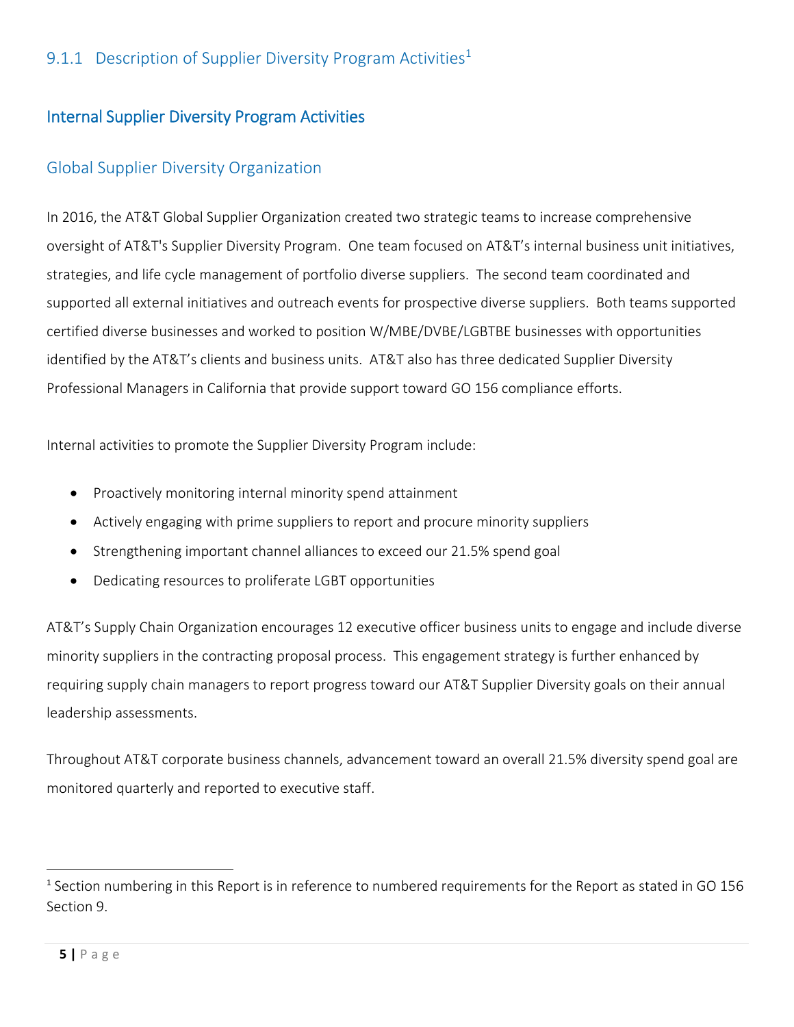### 9.1.1 Description of Supplier Diversity Program Activities<sup>1</sup>

### Internal Supplier Diversity Program Activities

### Global Supplier Diversity Organization

In 2016, the AT&T Global Supplier Organization created two strategic teams to increase comprehensive oversight of AT&T's Supplier Diversity Program. One team focused on AT&T's internal business unit initiatives, strategies, and life cycle management of portfolio diverse suppliers. The second team coordinated and supported all external initiatives and outreach events for prospective diverse suppliers. Both teams supported certified diverse businesses and worked to position W/MBE/DVBE/LGBTBE businesses with opportunities identified by the AT&T's clients and business units. AT&T also has three dedicated Supplier Diversity Professional Managers in California that provide support toward GO 156 compliance efforts.

Internal activities to promote the Supplier Diversity Program include:

- Proactively monitoring internal minority spend attainment
- Actively engaging with prime suppliers to report and procure minority suppliers
- Strengthening important channel alliances to exceed our 21.5% spend goal
- Dedicating resources to proliferate LGBT opportunities

AT&T's Supply Chain Organization encourages 12 executive officer business units to engage and include diverse minority suppliers in the contracting proposal process. This engagement strategy is further enhanced by requiring supply chain managers to report progress toward our AT&T Supplier Diversity goals on their annual leadership assessments.

Throughout AT&T corporate business channels, advancement toward an overall 21.5% diversity spend goal are monitored quarterly and reported to executive staff.

<sup>1</sup> Section numbering in this Report is in reference to numbered requirements for the Report as stated in GO 156 Section 9.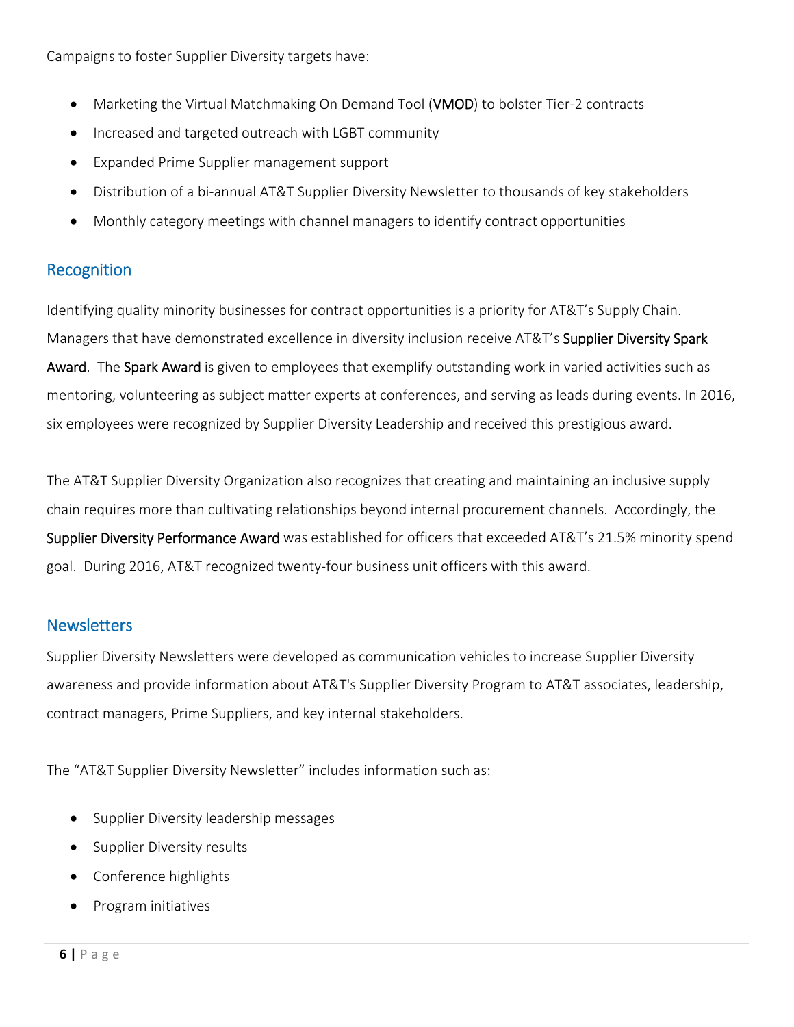Campaigns to foster Supplier Diversity targets have:

- Marketing the Virtual Matchmaking On Demand Tool (VMOD) to bolster Tier‐2 contracts
- Increased and targeted outreach with LGBT community
- Expanded Prime Supplier management support
- Distribution of a bi-annual AT&T Supplier Diversity Newsletter to thousands of key stakeholders
- Monthly category meetings with channel managers to identify contract opportunities

### Recognition

Identifying quality minority businesses for contract opportunities is a priority for AT&T's Supply Chain. Managers that have demonstrated excellence in diversity inclusion receive AT&T's Supplier Diversity Spark Award. The Spark Award is given to employees that exemplify outstanding work in varied activities such as mentoring, volunteering as subject matter experts at conferences, and serving as leads during events. In 2016, six employees were recognized by Supplier Diversity Leadership and received this prestigious award.

The AT&T Supplier Diversity Organization also recognizes that creating and maintaining an inclusive supply chain requires more than cultivating relationships beyond internal procurement channels. Accordingly, the Supplier Diversity Performance Award was established for officers that exceeded AT&T's 21.5% minority spend goal. During 2016, AT&T recognized twenty‐four business unit officers with this award.

### **Newsletters**

Supplier Diversity Newsletters were developed as communication vehicles to increase Supplier Diversity awareness and provide information about AT&T's Supplier Diversity Program to AT&T associates, leadership, contract managers, Prime Suppliers, and key internal stakeholders.

The "AT&T Supplier Diversity Newsletter" includes information such as:

- Supplier Diversity leadership messages
- Supplier Diversity results
- Conference highlights
- Program initiatives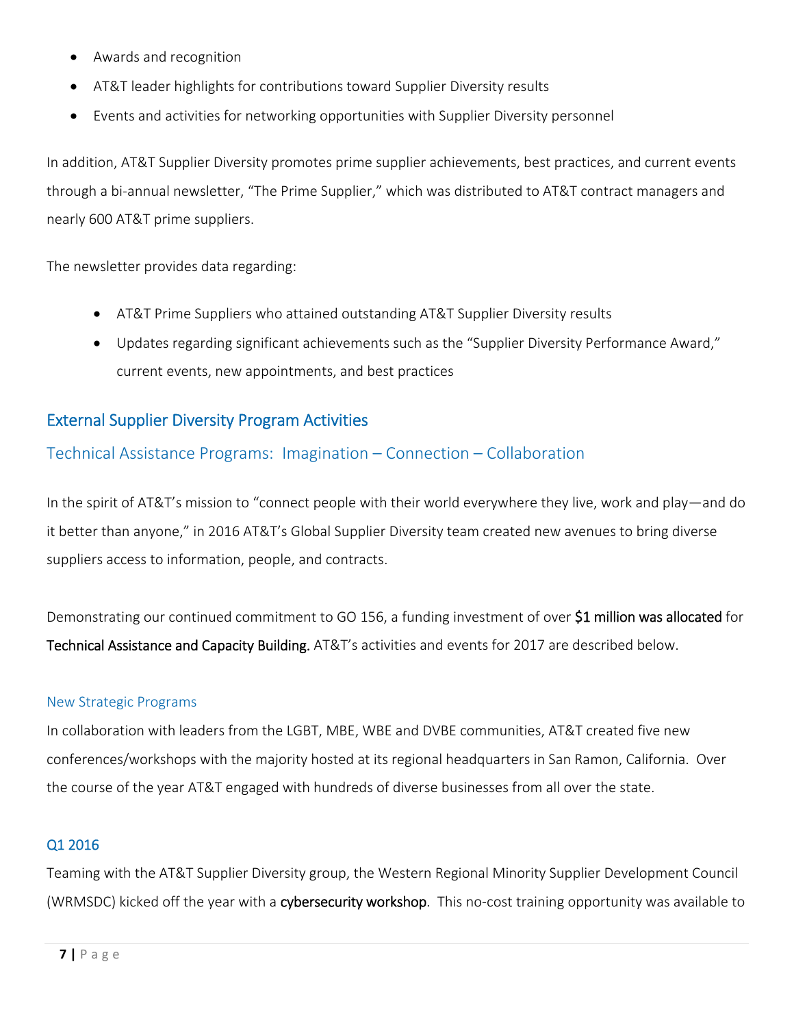- Awards and recognition
- AT&T leader highlights for contributions toward Supplier Diversity results
- Events and activities for networking opportunities with Supplier Diversity personnel

In addition, AT&T Supplier Diversity promotes prime supplier achievements, best practices, and current events through a bi-annual newsletter, "The Prime Supplier," which was distributed to AT&T contract managers and nearly 600 AT&T prime suppliers.

The newsletter provides data regarding:

- AT&T Prime Suppliers who attained outstanding AT&T Supplier Diversity results
- Updates regarding significant achievements such as the "Supplier Diversity Performance Award," current events, new appointments, and best practices

### External Supplier Diversity Program Activities

### Technical Assistance Programs: Imagination – Connection – Collaboration

In the spirit of AT&T's mission to "connect people with their world everywhere they live, work and play—and do it better than anyone," in 2016 AT&T's Global Supplier Diversity team created new avenues to bring diverse suppliers access to information, people, and contracts.

Demonstrating our continued commitment to GO 156, a funding investment of over \$1 million was allocated for Technical Assistance and Capacity Building. AT&T's activities and events for 2017 are described below.

#### New Strategic Programs

In collaboration with leaders from the LGBT, MBE, WBE and DVBE communities, AT&T created five new conferences/workshops with the majority hosted at its regional headquarters in San Ramon, California. Over the course of the year AT&T engaged with hundreds of diverse businesses from all over the state.

#### Q1 2016

Teaming with the AT&T Supplier Diversity group, the Western Regional Minority Supplier Development Council (WRMSDC) kicked off the year with a cybersecurity workshop. This no-cost training opportunity was available to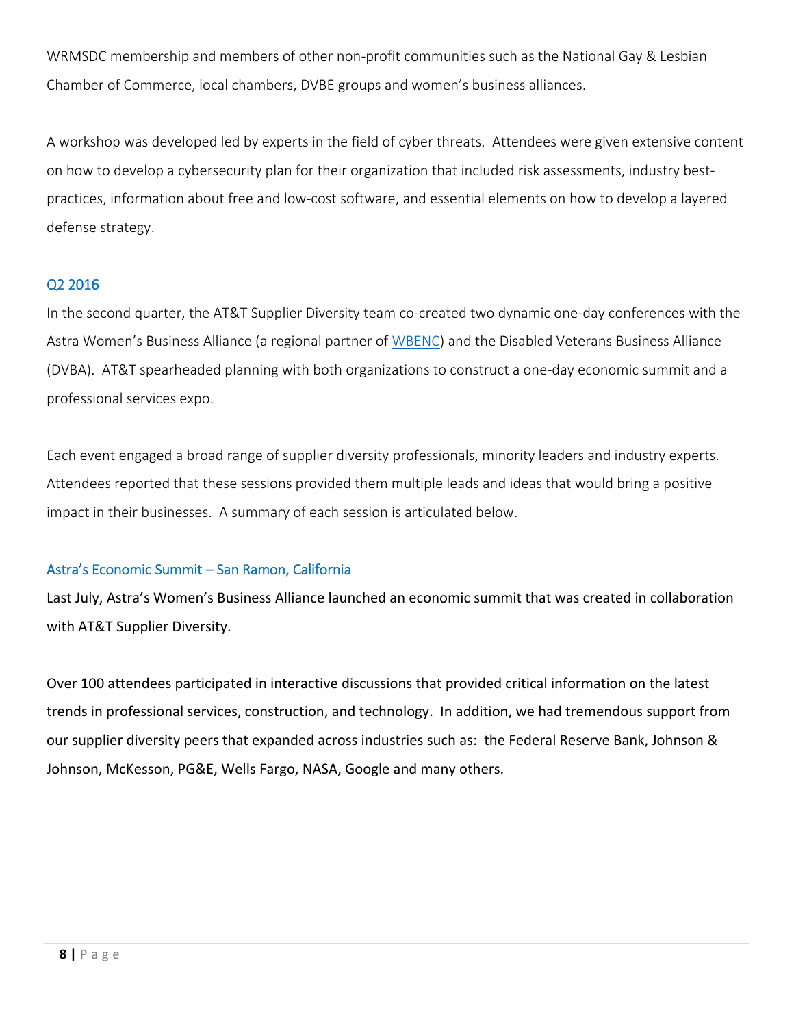WRMSDC membership and members of other non-profit communities such as the National Gay & Lesbian Chamber of Commerce, local chambers, DVBE groups and women's business alliances.

A workshop was developed led by experts in the field of cyber threats. Attendees were given extensive content on how to develop a cybersecurity plan for their organization that included risk assessments, industry bestpractices, information about free and low‐cost software, and essential elements on how to develop a layered defense strategy.

#### Q2 2016

In the second quarter, the AT&T Supplier Diversity team co-created two dynamic one-day conferences with the Astra Women's Business Alliance (a regional partner of WBENC) and the Disabled Veterans Business Alliance (DVBA). AT&T spearheaded planning with both organizations to construct a one‐day economic summit and a professional services expo.

Each event engaged a broad range of supplier diversity professionals, minority leaders and industry experts. Attendees reported that these sessions provided them multiple leads and ideas that would bring a positive impact in their businesses. A summary of each session is articulated below.

#### Astra's Economic Summit – San Ramon, California

Last July, Astra's Women's Business Alliance launched an economic summit that was created in collaboration with AT&T Supplier Diversity.

Over 100 attendees participated in interactive discussions that provided critical information on the latest trends in professional services, construction, and technology. In addition, we had tremendous support from our supplier diversity peers that expanded across industries such as: the Federal Reserve Bank, Johnson & Johnson, McKesson, PG&E, Wells Fargo, NASA, Google and many others.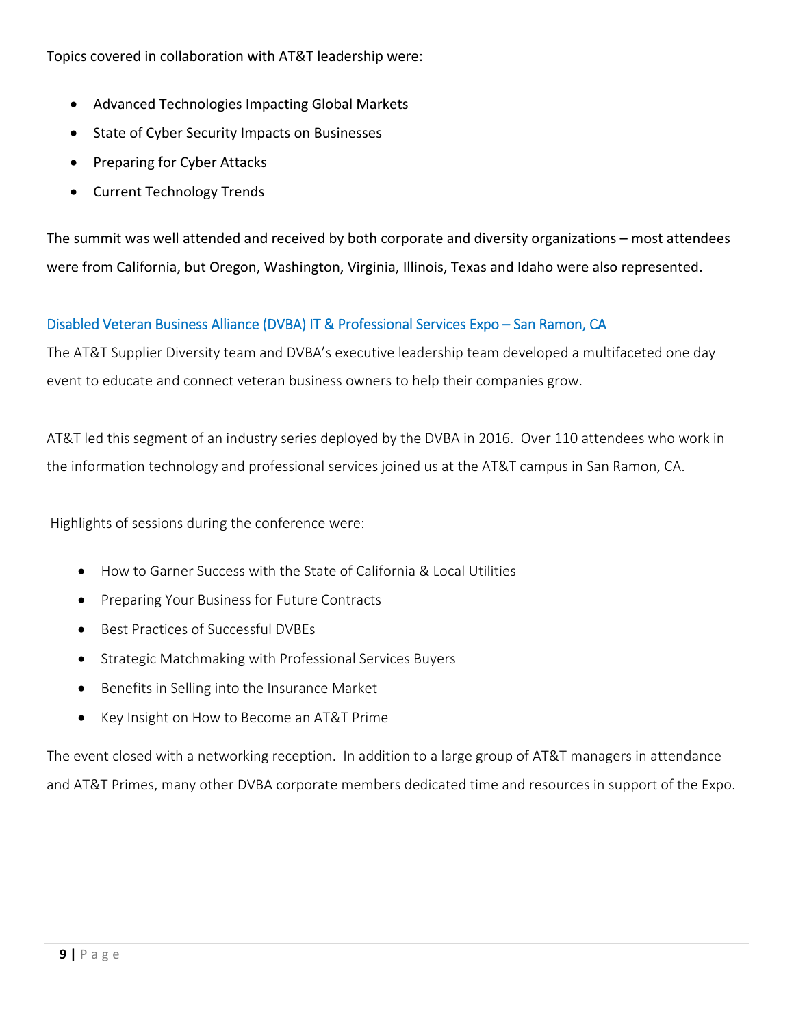Topics covered in collaboration with AT&T leadership were:

- Advanced Technologies Impacting Global Markets
- State of Cyber Security Impacts on Businesses
- Preparing for Cyber Attacks
- Current Technology Trends

The summit was well attended and received by both corporate and diversity organizations – most attendees were from California, but Oregon, Washington, Virginia, Illinois, Texas and Idaho were also represented.

### Disabled Veteran Business Alliance (DVBA) IT & Professional Services Expo – San Ramon, CA

The AT&T Supplier Diversity team and DVBA's executive leadership team developed a multifaceted one day event to educate and connect veteran business owners to help their companies grow.

AT&T led this segment of an industry series deployed by the DVBA in 2016. Over 110 attendees who work in the information technology and professional services joined us at the AT&T campus in San Ramon, CA.

Highlights of sessions during the conference were:

- How to Garner Success with the State of California & Local Utilities
- Preparing Your Business for Future Contracts
- Best Practices of Successful DVBEs
- Strategic Matchmaking with Professional Services Buyers
- Benefits in Selling into the Insurance Market
- Key Insight on How to Become an AT&T Prime

The event closed with a networking reception. In addition to a large group of AT&T managers in attendance and AT&T Primes, many other DVBA corporate members dedicated time and resources in support of the Expo.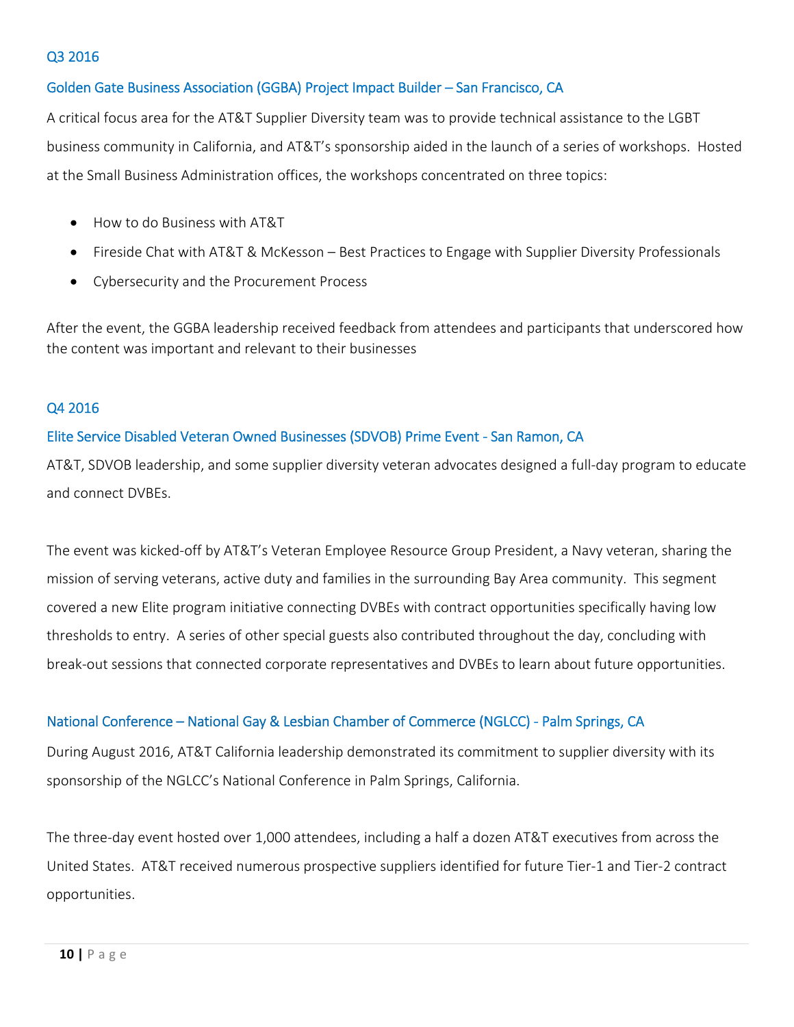#### Q3 2016

#### Golden Gate Business Association (GGBA) Project Impact Builder – San Francisco, CA

A critical focus area for the AT&T Supplier Diversity team was to provide technical assistance to the LGBT business community in California, and AT&T's sponsorship aided in the launch of a series of workshops. Hosted at the Small Business Administration offices, the workshops concentrated on three topics:

- How to do Business with AT&T
- Fireside Chat with AT&T & McKesson Best Practices to Engage with Supplier Diversity Professionals
- Cybersecurity and the Procurement Process

After the event, the GGBA leadership received feedback from attendees and participants that underscored how the content was important and relevant to their businesses

#### Q4 2016

#### Elite Service Disabled Veteran Owned Businesses (SDVOB) Prime Event ‐ San Ramon, CA

AT&T, SDVOB leadership, and some supplier diversity veteran advocates designed a full‐day program to educate and connect DVBEs.

The event was kicked-off by AT&T's Veteran Employee Resource Group President, a Navy veteran, sharing the mission of serving veterans, active duty and families in the surrounding Bay Area community. This segment covered a new Elite program initiative connecting DVBEs with contract opportunities specifically having low thresholds to entry. A series of other special guests also contributed throughout the day, concluding with break‐out sessions that connected corporate representatives and DVBEs to learn about future opportunities.

#### National Conference – National Gay & Lesbian Chamber of Commerce (NGLCC) ‐ Palm Springs, CA

During August 2016, AT&T California leadership demonstrated its commitment to supplier diversity with its sponsorship of the NGLCC's National Conference in Palm Springs, California.

The three‐day event hosted over 1,000 attendees, including a half a dozen AT&T executives from across the United States. AT&T received numerous prospective suppliers identified for future Tier‐1 and Tier‐2 contract opportunities.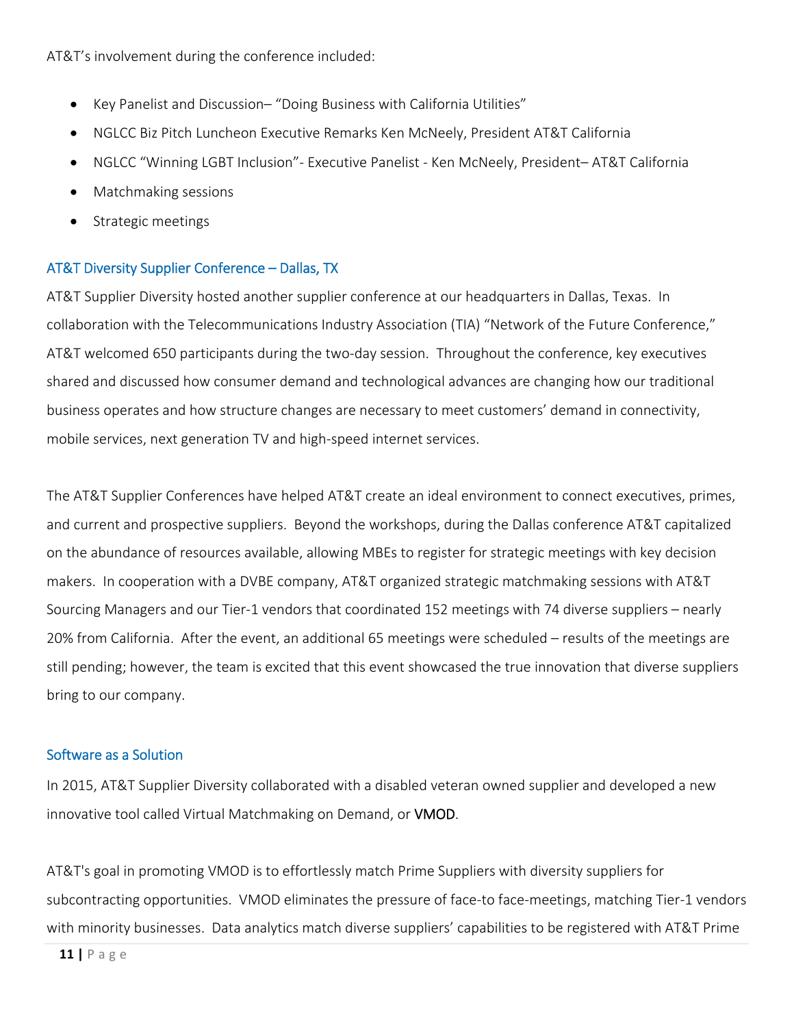AT&T's involvement during the conference included:

- Key Panelist and Discussion– "Doing Business with California Utilities"
- NGLCC Biz Pitch Luncheon Executive Remarks Ken McNeely, President AT&T California
- NGLCC "Winning LGBT Inclusion"‐ Executive Panelist ‐ Ken McNeely, President– AT&T California
- Matchmaking sessions
- Strategic meetings

#### AT&T Diversity Supplier Conference – Dallas, TX

AT&T Supplier Diversity hosted another supplier conference at our headquarters in Dallas, Texas. In collaboration with the Telecommunications Industry Association (TIA) "Network of the Future Conference," AT&T welcomed 650 participants during the two-day session. Throughout the conference, key executives shared and discussed how consumer demand and technological advances are changing how our traditional business operates and how structure changes are necessary to meet customers' demand in connectivity, mobile services, next generation TV and high‐speed internet services.

The AT&T Supplier Conferences have helped AT&T create an ideal environment to connect executives, primes, and current and prospective suppliers. Beyond the workshops, during the Dallas conference AT&T capitalized on the abundance of resources available, allowing MBEs to register for strategic meetings with key decision makers. In cooperation with a DVBE company, AT&T organized strategic matchmaking sessions with AT&T Sourcing Managers and our Tier‐1 vendors that coordinated 152 meetings with 74 diverse suppliers – nearly 20% from California. After the event, an additional 65 meetings were scheduled – results of the meetings are still pending; however, the team is excited that this event showcased the true innovation that diverse suppliers bring to our company.

#### Software as a Solution

In 2015, AT&T Supplier Diversity collaborated with a disabled veteran owned supplier and developed a new innovative tool called Virtual Matchmaking on Demand, or VMOD.

AT&T's goal in promoting VMOD is to effortlessly match Prime Suppliers with diversity suppliers for subcontracting opportunities. VMOD eliminates the pressure of face-to face-meetings, matching Tier-1 vendors with minority businesses. Data analytics match diverse suppliers' capabilities to be registered with AT&T Prime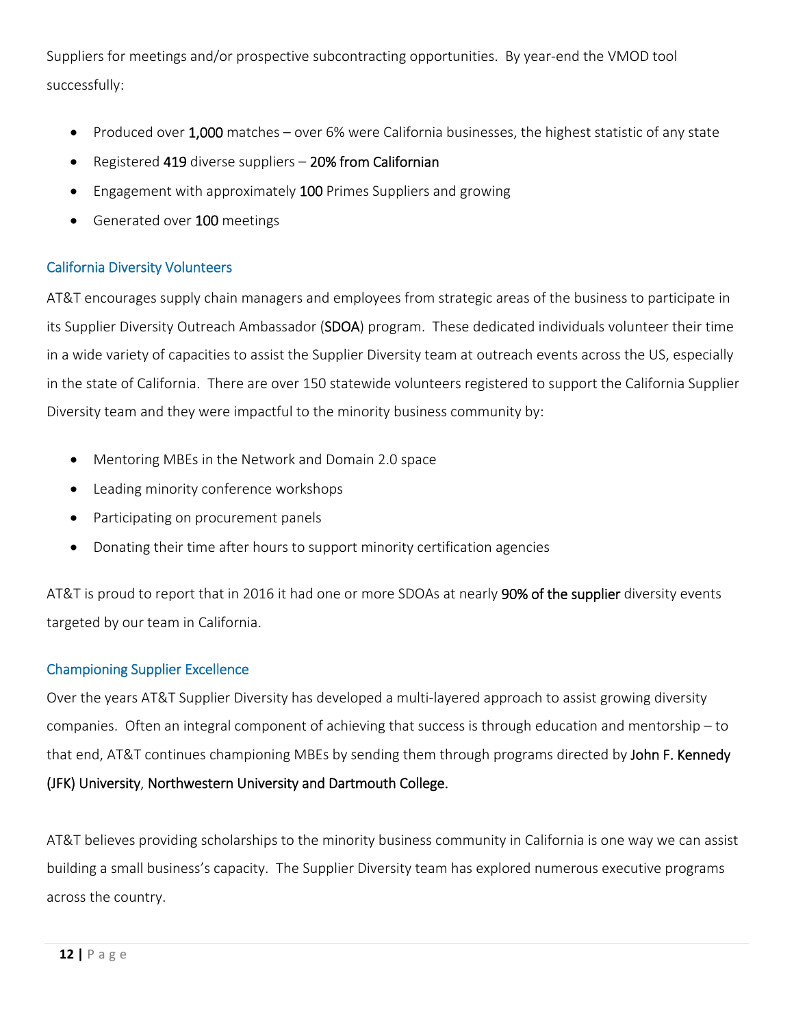Suppliers for meetings and/or prospective subcontracting opportunities. By year‐end the VMOD tool successfully:

- Produced over 1,000 matches over 6% were California businesses, the highest statistic of any state
- Registered 419 diverse suppliers 20% from Californian
- Engagement with approximately 100 Primes Suppliers and growing
- Generated over 100 meetings

### California Diversity Volunteers

AT&T encourages supply chain managers and employees from strategic areas of the business to participate in its Supplier Diversity Outreach Ambassador (SDOA) program. These dedicated individuals volunteer their time in a wide variety of capacities to assist the Supplier Diversity team at outreach events across the US, especially in the state of California. There are over 150 statewide volunteers registered to support the California Supplier Diversity team and they were impactful to the minority business community by:

- Mentoring MBEs in the Network and Domain 2.0 space
- Leading minority conference workshops
- Participating on procurement panels
- Donating their time after hours to support minority certification agencies

AT&T is proud to report that in 2016 it had one or more SDOAs at nearly 90% of the supplier diversity events targeted by our team in California.

### Championing Supplier Excellence

Over the years AT&T Supplier Diversity has developed a multi‐layered approach to assist growing diversity companies. Often an integral component of achieving that success is through education and mentorship – to that end, AT&T continues championing MBEs by sending them through programs directed by John F. Kennedy (JFK) University, Northwestern University and Dartmouth College.

AT&T believes providing scholarships to the minority business community in California is one way we can assist building a small business's capacity. The Supplier Diversity team has explored numerous executive programs across the country.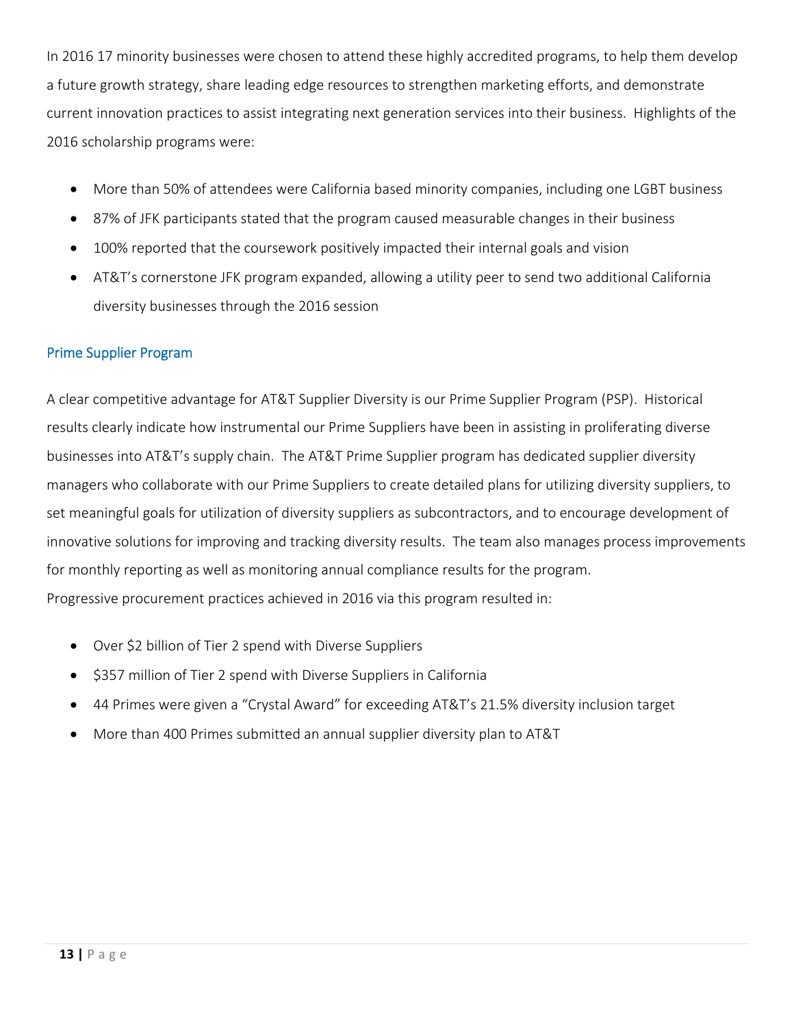In 2016 17 minority businesses were chosen to attend these highly accredited programs, to help them develop a future growth strategy, share leading edge resources to strengthen marketing efforts, and demonstrate current innovation practices to assist integrating next generation services into their business. Highlights of the 2016 scholarship programs were:

- More than 50% of attendees were California based minority companies, including one LGBT business
- 87% of JFK participants stated that the program caused measurable changes in their business
- 100% reported that the coursework positively impacted their internal goals and vision
- AT&T's cornerstone JFK program expanded, allowing a utility peer to send two additional California diversity businesses through the 2016 session

#### Prime Supplier Program

A clear competitive advantage for AT&T Supplier Diversity is our Prime Supplier Program (PSP). Historical results clearly indicate how instrumental our Prime Suppliers have been in assisting in proliferating diverse businesses into AT&T's supply chain. The AT&T Prime Supplier program has dedicated supplier diversity managers who collaborate with our Prime Suppliers to create detailed plans for utilizing diversity suppliers, to set meaningful goals for utilization of diversity suppliers as subcontractors, and to encourage development of innovative solutions for improving and tracking diversity results. The team also manages process improvements for monthly reporting as well as monitoring annual compliance results for the program. Progressive procurement practices achieved in 2016 via this program resulted in:

- Over \$2 billion of Tier 2 spend with Diverse Suppliers
- \$357 million of Tier 2 spend with Diverse Suppliers in California
- 44 Primes were given a "Crystal Award" for exceeding AT&T's 21.5% diversity inclusion target
- More than 400 Primes submitted an annual supplier diversity plan to AT&T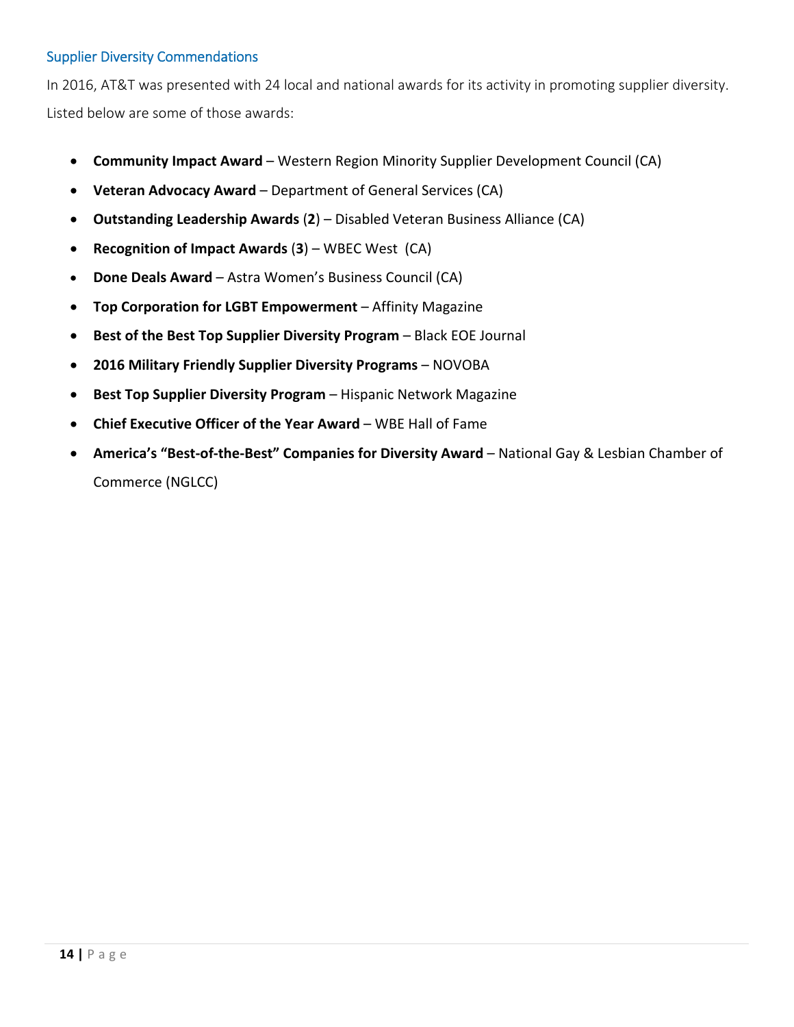#### Supplier Diversity Commendations

In 2016, AT&T was presented with 24 local and national awards for its activity in promoting supplier diversity. Listed below are some of those awards:

- **Community Impact Award** Western Region Minority Supplier Development Council (CA)
- **Veteran Advocacy Award** Department of General Services (CA)
- **Outstanding Leadership Awards** (**2**) Disabled Veteran Business Alliance (CA)
- **Recognition of Impact Awards** (**3**) WBEC West (CA)
- **Done Deals Award** Astra Women's Business Council (CA)
- **Top Corporation for LGBT Empowerment** Affinity Magazine
- **Best of the Best Top Supplier Diversity Program** Black EOE Journal
- **2016 Military Friendly Supplier Diversity Programs** NOVOBA
- **Best Top Supplier Diversity Program** Hispanic Network Magazine
- **Chief Executive Officer of the Year Award** WBE Hall of Fame
- **America's "Best‐of‐the‐Best" Companies for Diversity Award** National Gay & Lesbian Chamber of Commerce (NGLCC)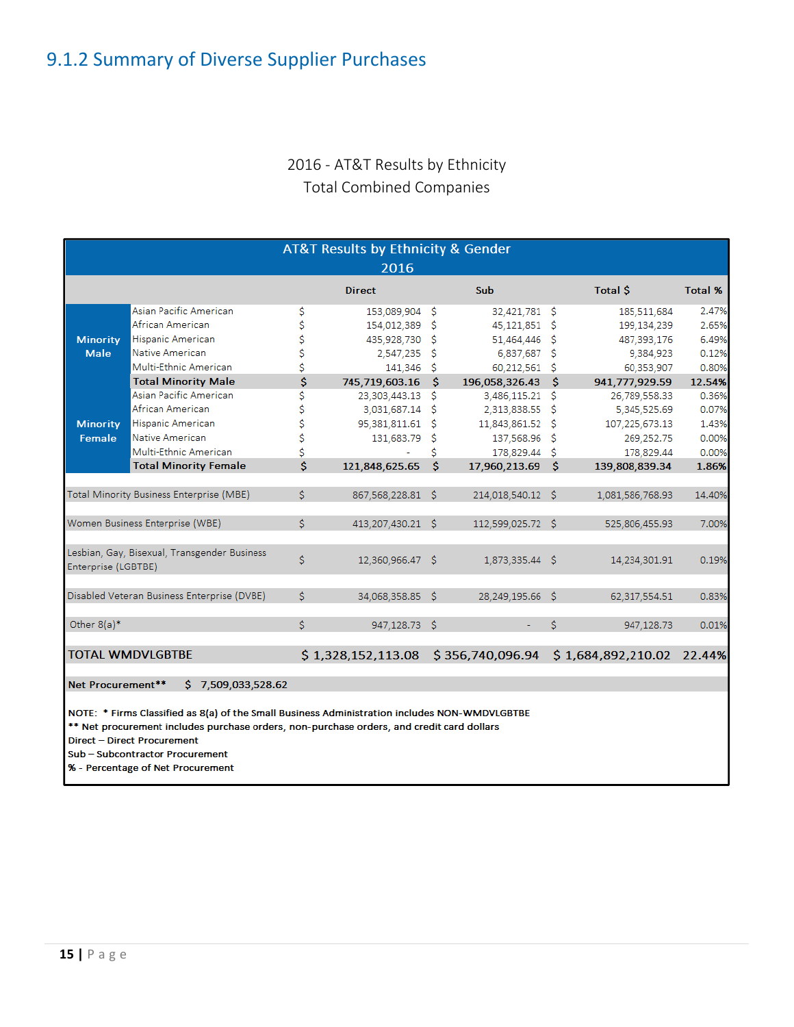# 9.1.2 Summary of Diverse Supplier Purchases

### 2016 ‐ AT&T Results by Ethnicity Total Combined Companies

|                     |                                              |    | AT&T Results by Ethnicity & Gender<br>2016 |    |                   |     |                    |                |
|---------------------|----------------------------------------------|----|--------------------------------------------|----|-------------------|-----|--------------------|----------------|
|                     |                                              |    | <b>Direct</b>                              |    | Sub               |     | Total \$           | <b>Total %</b> |
|                     | Asian Pacific American                       | \$ | 153,089,904                                | -Ŝ | 32,421,781 \$     |     | 185,511,684        | 2.47%          |
|                     | African American                             | \$ | 154,012,389                                | S  | 45,121,851        | S   | 199,134,239        | 2.65%          |
| <b>Minority</b>     | <b>Hispanic American</b>                     | \$ | 435,928,730                                | s  | 51,464,446        | s   | 487,393,176        | 6.49%          |
| <b>Male</b>         | Native American                              | \$ | 2.547.235                                  | Ŝ  | 6,837,687         | Ŝ   | 9.384.923          | 0.12%          |
|                     | Multi-Ethnic American                        | \$ | 141.346                                    | \$ | 60,212,561        | \$  | 60,353,907         | 0.80%          |
|                     | <b>Total Minority Male</b>                   | \$ | 745,719,603.16                             | Ŝ  | 196,058,326.43    | Ŝ   | 941,777,929.59     | 12.54%         |
|                     | Asian Pacific American                       | \$ | 23,303,443.13                              | Ś  | 3,486,115.21      | Ś   | 26,789,558.33      | 0.36%          |
|                     | African American                             | \$ | 3,031,687.14                               | Ŝ  | 2,313,838.55      | Ŝ   | 5,345,525.69       | 0.07%          |
| <b>Minority</b>     | <b>Hispanic American</b>                     | \$ | 95,381,811.61                              | S  | 11,843,861.52     | \$. | 107,225,673.13     | 1.43%          |
| Female              | Native American                              | \$ | 131,683.79                                 | Ś  | 137,568.96        | Ŝ   | 269,252.75         | 0.00%          |
|                     | Multi-Ethnic American                        | \$ |                                            | Ś  | 178,829.44        | Ŝ   | 178,829.44         | 0.00%          |
|                     | <b>Total Minority Female</b>                 | \$ | 121,848,625.65                             | Ŝ  | 17,960,213.69     | Ŝ   | 139,808,839.34     | 1.86%          |
|                     |                                              |    |                                            |    |                   |     |                    |                |
|                     | Total Minority Business Enterprise (MBE)     | Ś. | 867,568,228.81                             | Ŝ. | 214,018,540.12    | Ŝ.  | 1,081,586,768.93   | 14.40%         |
|                     |                                              |    |                                            |    |                   |     |                    |                |
|                     | Women Business Enterprise (WBE)              | Ś. | 413,207,430.21                             | Ŝ. | 112,599,025.72 \$ |     | 525,806,455.93     | 7.00%          |
|                     |                                              |    |                                            |    |                   |     |                    |                |
|                     | Lesbian, Gay, Bisexual, Transgender Business | Ś  | 12,360,966.47 \$                           |    | 1,873,335.44      | -S  | 14,234,301.91      | 0.19%          |
| Enterprise (LGBTBE) |                                              |    |                                            |    |                   |     |                    |                |
|                     |                                              |    |                                            |    |                   |     |                    |                |
|                     | Disabled Veteran Business Enterprise (DVBE)  | Ś  | 34,068,358.85                              | S  | 28,249,195.66     | S   | 62,317,554.51      | 0.83%          |
|                     |                                              |    |                                            |    |                   |     |                    |                |
| Other $8(a)^*$      |                                              | Ś. | 947.128.73                                 | Ŝ. |                   | Ś.  | 947,128.73         | 0.01%          |
|                     |                                              |    |                                            |    |                   |     |                    |                |
|                     | <b>TOTAL WMDVLGBTBE</b>                      |    | \$1,328,152,113.08                         |    | \$356,740,096.94  |     | \$1,684,892,210.02 | 22.44%         |
|                     |                                              |    |                                            |    |                   |     |                    |                |
| Net Procurement**   | 7,509,033,528.62<br>s                        |    |                                            |    |                   |     |                    |                |

NOTE: \* Firms Classified as 8(a) of the Small Business Administration includes NON-WMDVLGBTBE

\*\* Net procurement includes purchase orders, non-purchase orders, and credit card dollars

Direct - Direct Procurement

Sub-Subcontractor Procurement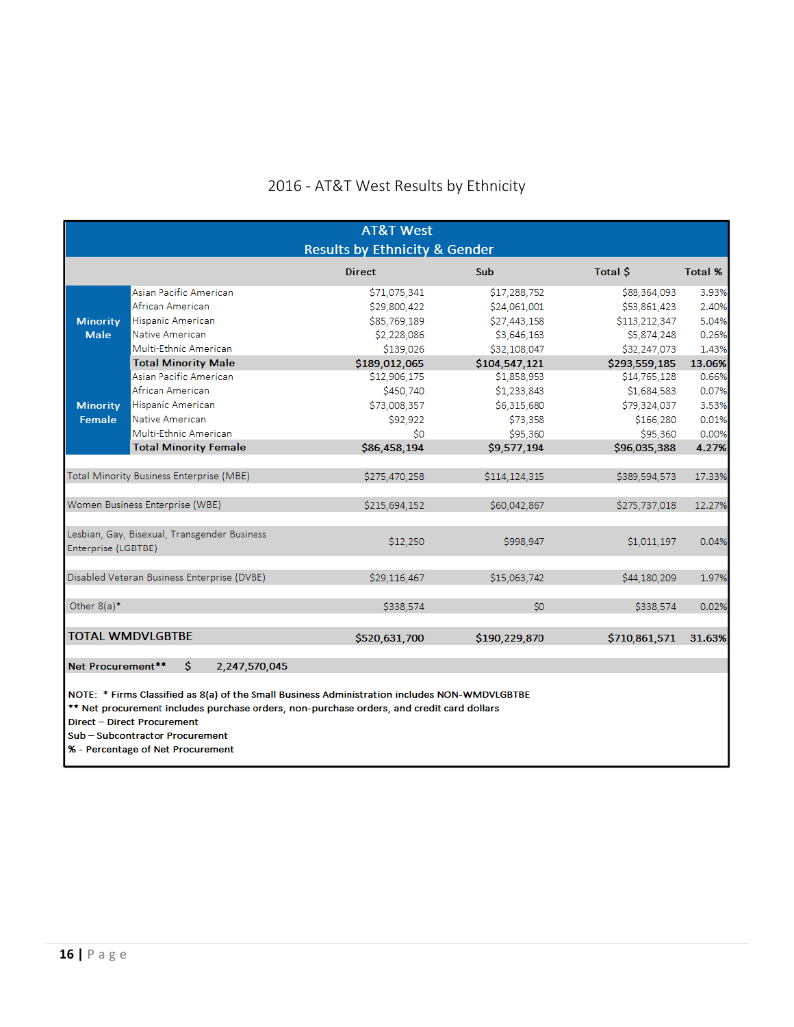## 2016 ‐ AT&T West Results by Ethnicity

|                     | <b>AT&amp;T West</b><br><b>Results by Ethnicity &amp; Gender</b>                                                                                                                                                          |               |               |               |                |  |  |  |  |  |  |  |
|---------------------|---------------------------------------------------------------------------------------------------------------------------------------------------------------------------------------------------------------------------|---------------|---------------|---------------|----------------|--|--|--|--|--|--|--|
|                     |                                                                                                                                                                                                                           | <b>Direct</b> | <b>Sub</b>    | Total \$      | <b>Total %</b> |  |  |  |  |  |  |  |
|                     | Asian Pacific American                                                                                                                                                                                                    | \$71,075,341  | \$17,288,752  | \$88,364,093  | 3.93%          |  |  |  |  |  |  |  |
|                     | African American                                                                                                                                                                                                          | \$29,800,422  | \$24,061,001  | \$53,861,423  | 2.40%          |  |  |  |  |  |  |  |
| <b>Minority</b>     | <b>Hispanic American</b>                                                                                                                                                                                                  | \$85,769,189  | \$27,443,158  | \$113,212,347 | 5.04%          |  |  |  |  |  |  |  |
| <b>Male</b>         | Native American                                                                                                                                                                                                           | \$2,228,086   | \$3,646,163   | \$5,874,248   | 0.26%          |  |  |  |  |  |  |  |
|                     | Multi-Ethnic American                                                                                                                                                                                                     | \$139,026     | \$32,108,047  | \$32,247,073  | 1.43%          |  |  |  |  |  |  |  |
|                     | <b>Total Minority Male</b>                                                                                                                                                                                                | \$189,012,065 | \$104,547,121 | \$293,559,185 | 13.06%         |  |  |  |  |  |  |  |
|                     | Asian Pacific American                                                                                                                                                                                                    | \$12,906,175  | \$1,858,953   | \$14,765,128  | 0.66%          |  |  |  |  |  |  |  |
|                     | African American                                                                                                                                                                                                          | \$450,740     | \$1,233,843   | \$1,684,583   | 0.07%          |  |  |  |  |  |  |  |
| <b>Minority</b>     | <b>Hispanic American</b>                                                                                                                                                                                                  | \$73,008,357  | \$6,315,680   | \$79,324,037  | 3.53%          |  |  |  |  |  |  |  |
| Female              | Native American                                                                                                                                                                                                           | \$92,922      | \$73,358      | \$166,280     | 0.01%          |  |  |  |  |  |  |  |
|                     | Multi-Ethnic American                                                                                                                                                                                                     | \$0           | \$95,360      | \$95,360      | 0.00%          |  |  |  |  |  |  |  |
|                     | <b>Total Minority Female</b>                                                                                                                                                                                              | \$86,458,194  | \$9,577,194   | \$96,035,388  | 4.27%          |  |  |  |  |  |  |  |
|                     |                                                                                                                                                                                                                           |               |               |               |                |  |  |  |  |  |  |  |
|                     | <b>Total Minority Business Enterprise (MBE)</b>                                                                                                                                                                           | \$275,470,258 | \$114,124,315 | \$389,594,573 | 17.33%         |  |  |  |  |  |  |  |
|                     | Women Business Enterprise (WBE)                                                                                                                                                                                           | \$215,694,152 | \$60,042,867  | \$275,737,018 | 12.27%         |  |  |  |  |  |  |  |
| Enterprise (LGBTBE) | Lesbian, Gay, Bisexual, Transgender Business                                                                                                                                                                              | \$12,250      | \$998,947     | \$1,011,197   | 0.04%          |  |  |  |  |  |  |  |
|                     | Disabled Veteran Business Enterprise (DVBE)                                                                                                                                                                               | \$29,116,467  | \$15,063,742  | \$44,180,209  | 1.97%          |  |  |  |  |  |  |  |
| Other $8(a)^*$      |                                                                                                                                                                                                                           | \$338,574     | \$0           | \$338,574     | 0.02%          |  |  |  |  |  |  |  |
|                     | <b>TOTAL WMDVLGBTBE</b>                                                                                                                                                                                                   | \$520,631,700 | \$190,229,870 | \$710,861,571 | 31.63%         |  |  |  |  |  |  |  |
| Net Procurement**   | Ŝ.<br>2,247,570,045                                                                                                                                                                                                       |               |               |               |                |  |  |  |  |  |  |  |
|                     | NOTE: * Firms Classified as 8(a) of the Small Business Administration includes NON-WMDVLGBTBE<br>** Net procurement includes purchase orders, non-purchase orders, and credit card dollars<br>Direct - Direct Procurement |               |               |               |                |  |  |  |  |  |  |  |

Sub-Subcontractor Procurement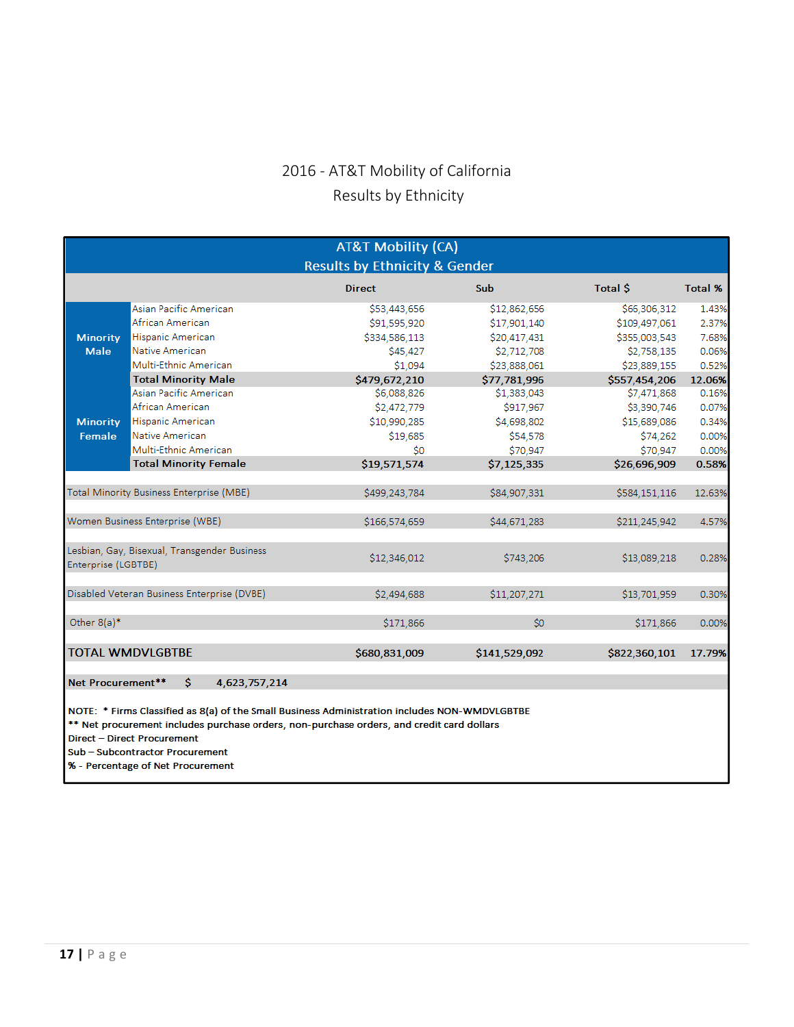## 2016 ‐ AT&T Mobility of California Results by Ethnicity

|                     |                                                                                               | <b>AT&amp;T Mobility (CA)</b>            |               |               |                |
|---------------------|-----------------------------------------------------------------------------------------------|------------------------------------------|---------------|---------------|----------------|
|                     |                                                                                               | <b>Results by Ethnicity &amp; Gender</b> |               |               |                |
|                     |                                                                                               | <b>Direct</b>                            | <b>Sub</b>    | Total \$      | <b>Total %</b> |
|                     | Asian Pacific American                                                                        | \$53,443,656                             | \$12,862,656  | \$66,306,312  | 1.43%          |
|                     | African American                                                                              | \$91,595,920                             | \$17,901,140  | \$109,497,061 | 2.37%          |
| <b>Minority</b>     | <b>Hispanic American</b>                                                                      | \$334,586,113                            | \$20,417,431  | \$355,003,543 | 7.68%          |
| <b>Male</b>         | <b>Native American</b>                                                                        | \$45,427                                 | \$2,712,708   | \$2,758,135   | 0.06%          |
|                     | Multi-Ethnic American                                                                         | \$1.094                                  | \$23,888,061  | \$23,889,155  | 0.52%          |
|                     | <b>Total Minority Male</b>                                                                    | \$479,672,210                            | \$77,781,996  | \$557,454,206 | 12.06%         |
|                     | Asian Pacific American                                                                        | \$6,088,826                              | \$1,383,043   | \$7,471,868   | 0.16%          |
|                     | African American                                                                              | \$2,472,779                              | \$917,967     | \$3,390,746   | 0.07%          |
| <b>Minority</b>     | <b>Hispanic American</b>                                                                      | \$10,990,285                             | \$4,698,802   | \$15,689,086  | 0.34%          |
| Female              | Native American                                                                               | \$19,685                                 | \$54,578      | \$74,262      | 0.00%          |
|                     | Multi-Ethnic American                                                                         | \$0                                      | \$70,947      | \$70,947      | 0.00%          |
|                     | <b>Total Minority Female</b>                                                                  | \$19,571,574                             | \$7,125,335   | \$26,696,909  | 0.58%          |
|                     | <b>Total Minority Business Enterprise (MBE)</b>                                               | \$499,243,784                            | \$84,907,331  | \$584,151,116 | 12.63%         |
|                     | Women Business Enterprise (WBE)                                                               | \$166,574,659                            | \$44,671,283  | \$211,245,942 | 4.57%          |
| Enterprise (LGBTBE) | Lesbian, Gay, Bisexual, Transgender Business                                                  | \$12,346,012                             | \$743,206     | \$13,089,218  | 0.28%          |
|                     | Disabled Veteran Business Enterprise (DVBE)                                                   | \$2,494,688                              | \$11,207,271  | \$13,701,959  | 0.30%          |
| Other $8(a)^*$      |                                                                                               | \$171,866                                | \$0           | \$171,866     | 0.00%          |
|                     | <b>TOTAL WMDVLGBTBE</b>                                                                       | \$680,831,009                            | \$141,529,092 | \$822,360,101 | 17.79%         |
| Net Procurement**   | Ś.<br>4,623,757,214                                                                           |                                          |               |               |                |
|                     | NOTE: * Firms Classified as 8(a) of the Small Business Administration includes NON-WMDVLGBTBE |                                          |               |               |                |

\*\* Net procurement includes purchase orders, non-purchase orders, and credit card dollars

Direct - Direct Procurement

Sub-Subcontractor Procurement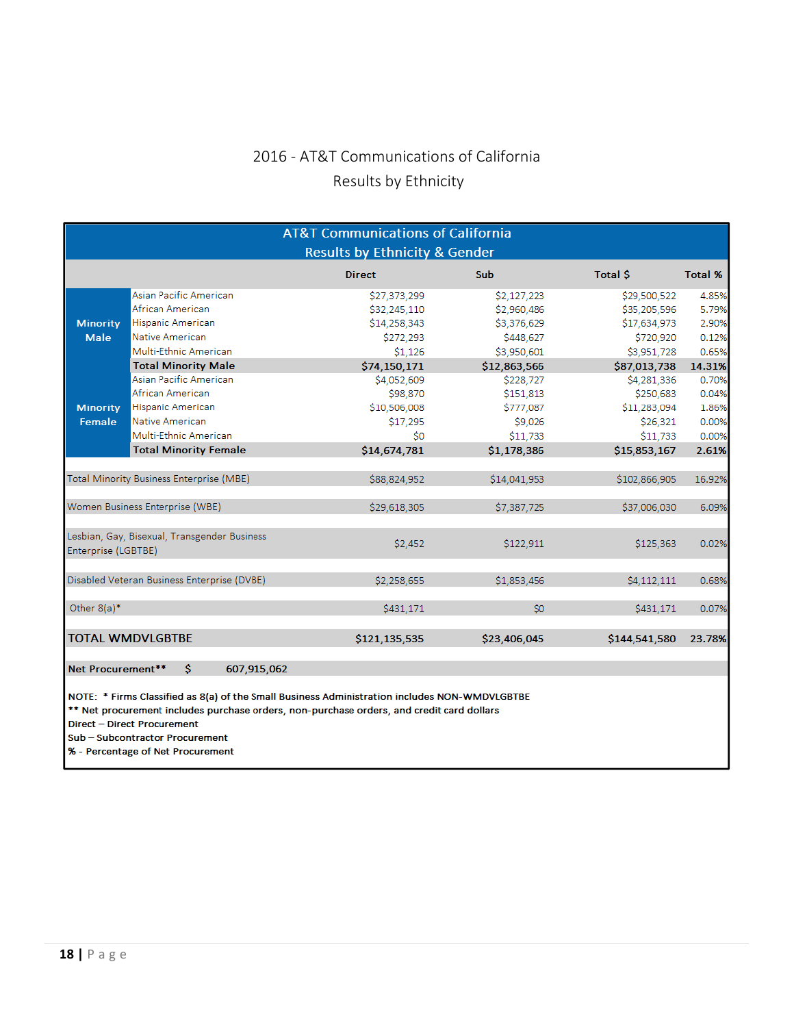## 2016 ‐ AT&T Communications of California Results by Ethnicity

|                     |                                                                                               | <b>AT&amp;T Communications of California</b> |              |               |                |
|---------------------|-----------------------------------------------------------------------------------------------|----------------------------------------------|--------------|---------------|----------------|
|                     |                                                                                               | <b>Results by Ethnicity &amp; Gender</b>     |              |               |                |
|                     |                                                                                               | <b>Direct</b>                                | <b>Sub</b>   | Total \$      | <b>Total %</b> |
|                     | Asian Pacific American                                                                        | \$27,373,299                                 | \$2,127,223  | \$29,500,522  | 4.85%          |
|                     | African American                                                                              | \$32,245,110                                 | \$2,960,486  | \$35,205,596  | 5.79%          |
| <b>Minority</b>     | Hispanic American                                                                             | \$14,258,343                                 | \$3,376,629  | \$17,634,973  | 2.90%          |
| <b>Male</b>         | Native American                                                                               | \$272,293                                    | \$448,627    | \$720,920     | 0.12%          |
|                     | Multi-Ethnic American                                                                         | \$1,126                                      | \$3,950,601  | \$3,951,728   | 0.65%          |
|                     | <b>Total Minority Male</b>                                                                    | \$74,150,171                                 | \$12,863,566 | \$87,013,738  | 14.31%         |
|                     | Asian Pacific American                                                                        | \$4,052,609                                  | \$228,727    | \$4,281,336   | 0.70%          |
|                     | African American                                                                              | \$98,870                                     | \$151,813    | \$250,683     | 0.04%          |
| <b>Minority</b>     | <b>Hispanic American</b>                                                                      | \$10,506,008                                 | \$777,087    | \$11,283,094  | 1.86%          |
| Female              | Native American                                                                               | \$17,295                                     | \$9,026      | \$26,321      | 0.00%          |
|                     | Multi-Ethnic American                                                                         | \$0                                          | \$11,733     | \$11,733      | 0.00%          |
|                     | <b>Total Minority Female</b>                                                                  | \$14,674,781                                 | \$1,178,386  | \$15,853,167  | 2.61%          |
|                     | <b>Total Minority Business Enterprise (MBE)</b>                                               | \$88,824,952                                 | \$14,041,953 | \$102,866,905 | 16.92%         |
|                     | Women Business Enterprise (WBE)                                                               | \$29,618,305                                 | \$7,387,725  | \$37,006,030  | 6.09%          |
| Enterprise (LGBTBE) | Lesbian, Gay, Bisexual, Transgender Business                                                  | \$2,452                                      | \$122,911    | \$125,363     | 0.02%          |
|                     | Disabled Veteran Business Enterprise (DVBE)                                                   | \$2,258,655                                  | \$1,853,456  | \$4,112,111   | 0.68%          |
| Other $8(a)^*$      |                                                                                               | \$431,171                                    | \$0          | \$431,171     | 0.07%          |
|                     | <b>TOTAL WMDVLGBTBE</b>                                                                       | \$121,135,535                                | \$23,406,045 | \$144,541,580 | 23.78%         |
| Net Procurement**   | Ŝ.<br>607,915,062                                                                             |                                              |              |               |                |
|                     | NOTE: * Firms Classified as 8(a) of the Small Business Administration includes NON-WMDVLGBTBE |                                              |              |               |                |

\*\* Net procurement includes purchase orders, non-purchase orders, and credit card dollars

Direct - Direct Procurement

Sub-Subcontractor Procurement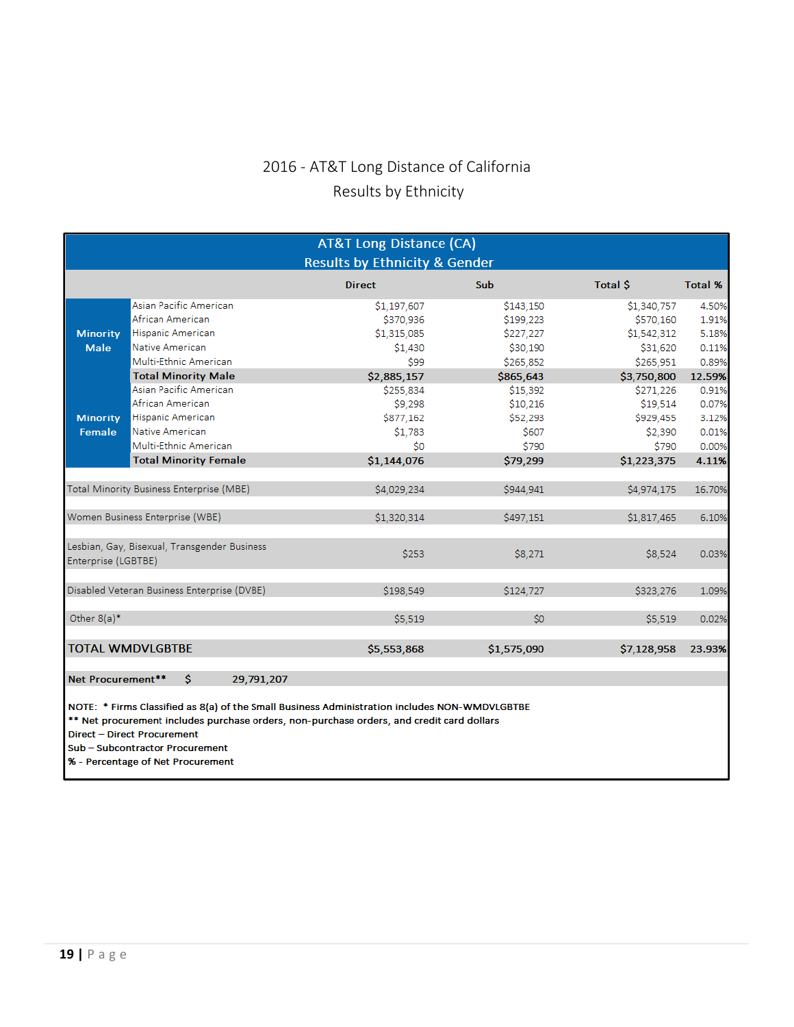## 2016 ‐ AT&T Long Distance of California Results by Ethnicity

|                     |                                              | AT&T Long Distance (CA)                                   |             |             |                |
|---------------------|----------------------------------------------|-----------------------------------------------------------|-------------|-------------|----------------|
|                     |                                              | <b>Results by Ethnicity &amp; Gender</b><br><b>Direct</b> | Sub         | Total \$    | <b>Total %</b> |
|                     | Asian Pacific American                       | \$1,197,607                                               | \$143,150   | \$1,340,757 | 4.50%          |
|                     | African American                             | \$370,936                                                 | \$199,223   | \$570,160   | 1.91%          |
| <b>Minority</b>     | <b>Hispanic American</b>                     | \$1,315,085                                               | \$227,227   | \$1,542,312 | 5.18%          |
| <b>Male</b>         | Native American                              | \$1,430                                                   | \$30,190    | \$31,620    | 0.11%          |
|                     | Multi-Ethnic American                        | \$99                                                      | \$265,852   | \$265,951   | 0.89%          |
|                     | <b>Total Minority Male</b>                   | \$2,885,157                                               | \$865,643   | \$3,750,800 | 12.59%         |
|                     | Asian Pacific American                       | \$255,834                                                 | \$15,392    | \$271,226   | 0.91%          |
|                     | African American                             | \$9,298                                                   | \$10,216    | \$19,514    | 0.07%          |
| <b>Minority</b>     | <b>Hispanic American</b>                     | \$877,162                                                 | \$52,293    | \$929,455   | 3.12%          |
| Female              | Native American                              | \$1,783                                                   | \$607       | \$2,390     | 0.01%          |
|                     | Multi-Ethnic American                        | \$0                                                       | \$790       | \$790       | 0.00%          |
|                     | <b>Total Minority Female</b>                 | \$1,144,076                                               | \$79,299    | \$1,223,375 | 4.11%          |
|                     |                                              |                                                           |             |             |                |
|                     | Total Minority Business Enterprise (MBE)     | \$4,029,234                                               | \$944.941   | \$4,974,175 | 16.70%         |
|                     |                                              |                                                           |             |             |                |
|                     | Women Business Enterprise (WBE)              | \$1,320,314                                               | \$497,151   | \$1,817,465 | 6.10%          |
|                     |                                              |                                                           |             |             |                |
|                     | Lesbian, Gay, Bisexual, Transgender Business |                                                           |             |             |                |
| Enterprise (LGBTBE) |                                              | \$253                                                     | \$8,271     | \$8,524     | 0.03%          |
|                     |                                              |                                                           |             |             |                |
|                     | Disabled Veteran Business Enterprise (DVBE)  | \$198,549                                                 | \$124,727   | \$323,276   | 1.09%          |
|                     |                                              |                                                           |             |             |                |
| Other $8(a)^*$      |                                              | \$5.519                                                   | \$0         | \$5.519     | 0.02%          |
|                     |                                              |                                                           |             |             |                |
|                     | <b>TOTAL WMDVLGBTBE</b>                      | \$5,553,868                                               | \$1,575,090 | \$7,128,958 | 23.93%         |
|                     |                                              |                                                           |             |             |                |
| Net Procurement**   | Ŝ.<br>29,791,207                             |                                                           |             |             |                |
|                     |                                              |                                                           |             |             |                |

NOTE: \* Firms Classified as 8(a) of the Small Business Administration includes NON-WMDVLGBTBE

\*\* Net procurement includes purchase orders, non-purchase orders, and credit card dollars

Direct - Direct Procurement

Sub-Subcontractor Procurement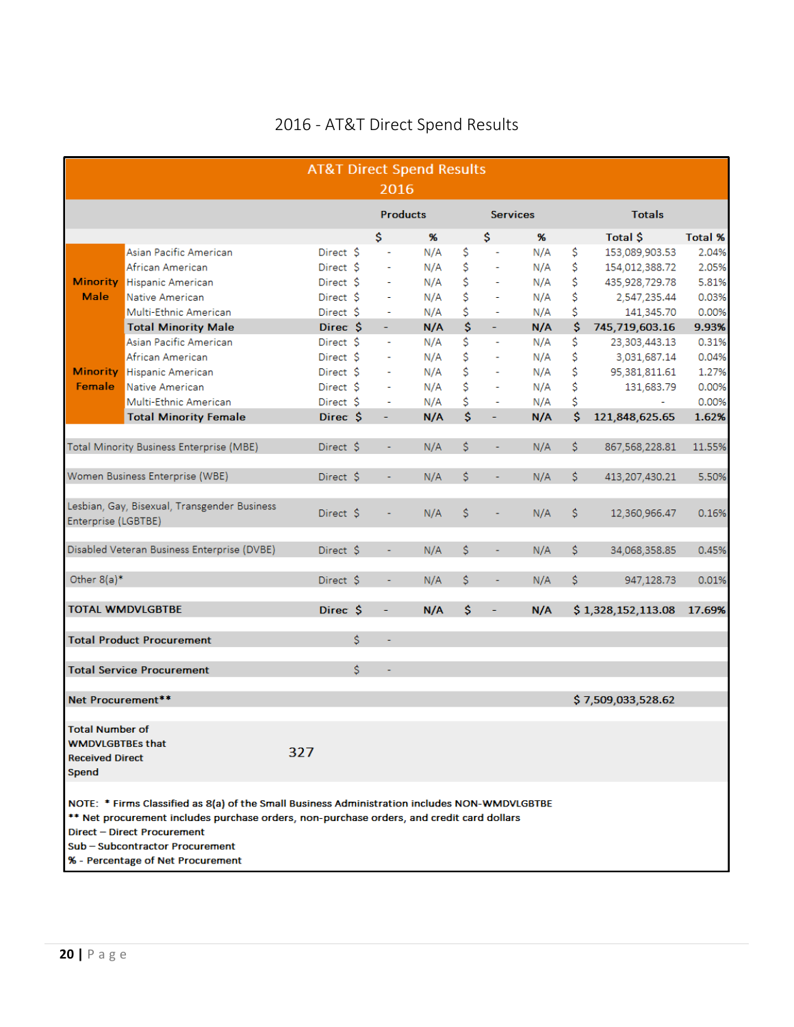|                                                                                      |                                                                                                                                                                                                                                                                                                 |           |    |                          | <b>AT&amp;T Direct Spend Results</b> |    |                           |     |               |                    |                |
|--------------------------------------------------------------------------------------|-------------------------------------------------------------------------------------------------------------------------------------------------------------------------------------------------------------------------------------------------------------------------------------------------|-----------|----|--------------------------|--------------------------------------|----|---------------------------|-----|---------------|--------------------|----------------|
|                                                                                      |                                                                                                                                                                                                                                                                                                 |           |    | 2016                     |                                      |    |                           |     |               |                    |                |
|                                                                                      |                                                                                                                                                                                                                                                                                                 |           |    | <b>Products</b>          |                                      |    | <b>Services</b>           |     | <b>Totals</b> |                    |                |
|                                                                                      |                                                                                                                                                                                                                                                                                                 |           |    | \$                       | %                                    |    | \$                        | %   |               | Total \$           | <b>Total %</b> |
|                                                                                      | Asian Pacific American                                                                                                                                                                                                                                                                          | Direct \$ |    | $\overline{\phantom{a}}$ | N/A                                  | \$ | $\overline{\phantom{a}}$  | N/A | \$            | 153,089,903.53     | 2.04%          |
|                                                                                      | African American                                                                                                                                                                                                                                                                                | Direct \$ |    | ÷                        | N/A                                  | \$ | $\overline{\phantom{a}}$  | N/A | \$            | 154,012,388.72     | 2.05%          |
|                                                                                      | <b>Minority</b> Hispanic American                                                                                                                                                                                                                                                               | Direct \$ |    | ۰                        | N/A                                  | \$ | ÷                         | N/A | \$            | 435,928,729.78     | 5.81%          |
| <b>Male</b>                                                                          | <b>Native American</b>                                                                                                                                                                                                                                                                          | Direct \$ |    | ÷                        | N/A                                  | \$ | ÷,                        | N/A | \$            | 2,547,235.44       | 0.03%          |
|                                                                                      | Multi-Ethnic American                                                                                                                                                                                                                                                                           | Direct \$ |    | $\overline{\phantom{a}}$ | N/A                                  | \$ | $\blacksquare$            | N/A | \$            | 141,345.70         | 0.00%          |
|                                                                                      | <b>Total Minority Male</b>                                                                                                                                                                                                                                                                      | Direc \$  |    | ÷                        | N/A                                  | \$ | $\mathbb{L}^{\mathbb{N}}$ | N/A | \$            | 745,719,603.16     | 9.93%          |
|                                                                                      | Asian Pacific American                                                                                                                                                                                                                                                                          | Direct \$ |    | $\overline{\phantom{a}}$ | N/A                                  | Ś. | ÷,                        | N/A | \$            | 23,303,443.13      | 0.31%          |
|                                                                                      | African American                                                                                                                                                                                                                                                                                | Direct \$ |    | Ξ                        | N/A                                  | \$ | $\overline{\phantom{a}}$  | N/A | \$            | 3,031,687.14       | 0.04%          |
| <b>Minority</b>                                                                      | <b>Hispanic American</b>                                                                                                                                                                                                                                                                        | Direct \$ |    | Ξ                        | N/A                                  | \$ | $\blacksquare$            | N/A | \$            | 95,381,811.61      | 1.27%          |
| Female                                                                               | <b>Native American</b>                                                                                                                                                                                                                                                                          | Direct \$ |    | ÷                        | N/A                                  | \$ | ÷                         | N/A | \$            | 131,683.79         | 0.00%          |
|                                                                                      | Multi-Ethnic American                                                                                                                                                                                                                                                                           | Direct \$ |    | ÷                        | N/A                                  | Ś. | ÷                         | N/A | \$            |                    | 0.00%          |
|                                                                                      | <b>Total Minority Female</b>                                                                                                                                                                                                                                                                    | Direc \$  |    | ÷,                       | N/A                                  | \$ | ÷,                        | N/A | \$            | 121,848,625.65     | 1.62%          |
|                                                                                      | <b>Total Minority Business Enterprise (MBE)</b>                                                                                                                                                                                                                                                 | Direct \$ |    | $\blacksquare$           | N/A                                  | Ś. | $\sim$                    | N/A | \$            | 867,568,228.81     | 11.55%         |
|                                                                                      | Women Business Enterprise (WBE)                                                                                                                                                                                                                                                                 | Direct \$ |    | ÷.                       | N/A                                  | Ś. | $\blacksquare$            | N/A | Ś.            | 413,207,430.21     | 5.50%          |
| Enterprise (LGBTBE)                                                                  | Lesbian, Gay, Bisexual, Transgender Business                                                                                                                                                                                                                                                    | Direct \$ |    |                          | N/A                                  | Ś. |                           | N/A | Ś.            | 12,360,966.47      | 0.16%          |
|                                                                                      | Disabled Veteran Business Enterprise (DVBE)                                                                                                                                                                                                                                                     | Direct \$ |    | ۰                        | N/A                                  | Ś. | ÷                         | N/A | Ś.            | 34,068,358.85      | 0.45%          |
| Other 8(a)*                                                                          |                                                                                                                                                                                                                                                                                                 | Direct \$ |    | ÷                        | N/A                                  | Ś. |                           | N/A | Ś.            | 947,128.73         | 0.01%          |
|                                                                                      | <b>TOTAL WMDVLGBTBE</b>                                                                                                                                                                                                                                                                         | Direc \$  |    | ÷.                       | N/A                                  | Ś  |                           | N/A |               | \$1,328,152,113.08 | 17.69%         |
|                                                                                      | <b>Total Product Procurement</b>                                                                                                                                                                                                                                                                |           | Ś. |                          |                                      |    |                           |     |               |                    |                |
|                                                                                      | <b>Total Service Procurement</b>                                                                                                                                                                                                                                                                |           | Ś. |                          |                                      |    |                           |     |               |                    |                |
| Net Procurement**                                                                    |                                                                                                                                                                                                                                                                                                 |           |    |                          |                                      |    |                           |     |               | \$7,509,033,528.62 |                |
| <b>Total Number of</b><br><b>WMDVLGBTBEs that</b><br><b>Received Direct</b><br>Spend |                                                                                                                                                                                                                                                                                                 | 327       |    |                          |                                      |    |                           |     |               |                    |                |
|                                                                                      | NOTE: * Firms Classified as 8(a) of the Small Business Administration includes NON-WMDVLGBTBE<br>** Net procurement includes purchase orders, non-purchase orders, and credit card dollars<br>Direct - Direct Procurement<br>Sub-Subcontractor Procurement<br>% - Percentage of Net Procurement |           |    |                          |                                      |    |                           |     |               |                    |                |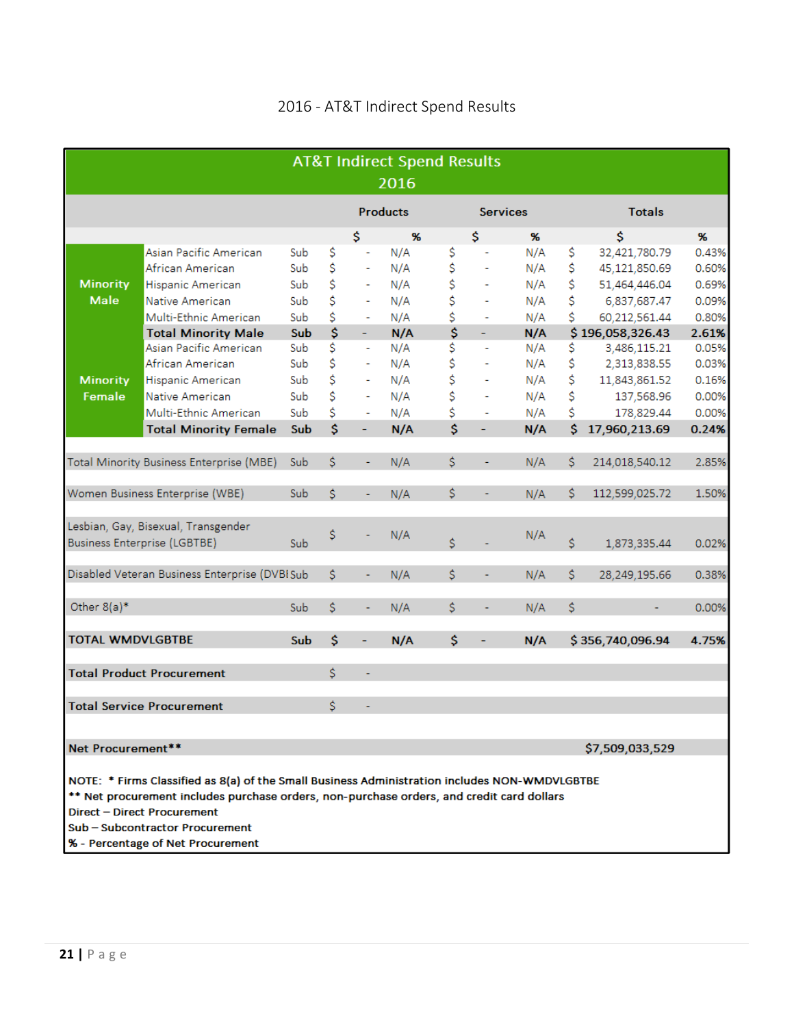|                                                 | <b>AT&amp;T Indirect Spend Results</b>                                                                                                                                                                                                                                                          |     |     |                          |                 |    |                 |     |     |                  |       |  |  |
|-------------------------------------------------|-------------------------------------------------------------------------------------------------------------------------------------------------------------------------------------------------------------------------------------------------------------------------------------------------|-----|-----|--------------------------|-----------------|----|-----------------|-----|-----|------------------|-------|--|--|
|                                                 |                                                                                                                                                                                                                                                                                                 |     |     |                          | 2016            |    |                 |     |     |                  |       |  |  |
|                                                 |                                                                                                                                                                                                                                                                                                 |     |     |                          | <b>Products</b> |    | <b>Services</b> |     |     | <b>Totals</b>    |       |  |  |
|                                                 |                                                                                                                                                                                                                                                                                                 |     |     | \$                       | $\%$            |    | \$              | %   |     | \$               | $\%$  |  |  |
|                                                 | Asian Pacific American                                                                                                                                                                                                                                                                          | Sub | \$  | ÷,                       | N/A             | \$ | ä,              | N/A | \$  | 32,421,780.79    | 0.43% |  |  |
|                                                 | African American                                                                                                                                                                                                                                                                                | Sub | \$  | ÷,                       | N/A             | \$ | ÷,              | N/A | \$. | 45,121,850.69    | 0.60% |  |  |
| <b>Minority</b>                                 | <b>Hispanic American</b>                                                                                                                                                                                                                                                                        | Sub | \$  | ۰                        | N/A             | \$ | ÷,              | N/A | \$  | 51,464,446.04    | 0.69% |  |  |
| <b>Male</b>                                     | Native American                                                                                                                                                                                                                                                                                 | Sub | \$  | ÷                        | N/A             | \$ | ä,              | N/A | \$  | 6,837,687.47     | 0.09% |  |  |
|                                                 | Multi-Ethnic American                                                                                                                                                                                                                                                                           | Sub | \$  | $\overline{\phantom{a}}$ | N/A             | \$ | ä,              | N/A | \$  | 60,212,561.44    | 0.80% |  |  |
|                                                 | <b>Total Minority Male</b>                                                                                                                                                                                                                                                                      | Sub | \$  | $\blacksquare$           | N/A             | \$ | ÷,              | N/A |     | \$196,058,326.43 | 2.61% |  |  |
|                                                 | Asian Pacific American                                                                                                                                                                                                                                                                          | Sub | \$  | ÷,                       | N/A             | \$ | ä,              | N/A | \$  | 3,486,115.21     | 0.05% |  |  |
|                                                 | African American                                                                                                                                                                                                                                                                                | Sub | \$  | ۰                        | N/A             | \$ | ÷,              | N/A | \$  | 2,313,838.55     | 0.03% |  |  |
| <b>Minority</b>                                 | <b>Hispanic American</b>                                                                                                                                                                                                                                                                        | Sub | \$  | ÷.                       | N/A             | \$ | ÷               | N/A | \$  | 11,843,861.52    | 0.16% |  |  |
| Female                                          | <b>Native American</b>                                                                                                                                                                                                                                                                          | Sub | \$  | ä,                       | N/A             | \$ | ä,              | N/A | \$  | 137,568.96       | 0.00% |  |  |
|                                                 | Multi-Ethnic American                                                                                                                                                                                                                                                                           | Sub | \$  |                          | N/A             | \$ |                 | N/A | \$  | 178,829.44       | 0.00% |  |  |
|                                                 | <b>Total Minority Female</b>                                                                                                                                                                                                                                                                    | Sub | \$  |                          | N/A             | Ś  |                 | N/A | \$  | 17,960,213.69    | 0.24% |  |  |
| <b>Total Minority Business Enterprise (MBE)</b> |                                                                                                                                                                                                                                                                                                 |     | \$  | ÷                        | N/A             | \$ |                 | N/A | Ś.  | 214,018,540.12   | 2.85% |  |  |
| Women Business Enterprise (WBE)                 |                                                                                                                                                                                                                                                                                                 |     | \$  | ÷,                       | N/A             | \$ |                 | N/A | Ś.  | 112,599,025.72   | 1.50% |  |  |
|                                                 | Lesbian, Gay, Bisexual, Transgender<br><b>Business Enterprise (LGBTBE)</b>                                                                                                                                                                                                                      | Sub | \$  |                          | N/A             | \$ |                 | N/A | \$  | 1,873,335.44     | 0.02% |  |  |
|                                                 | Disabled Veteran Business Enterprise (DVBISub                                                                                                                                                                                                                                                   |     | \$  | ÷,                       | N/A             | \$ |                 | N/A | \$. | 28,249,195.66    | 0.38% |  |  |
| Other 8(a)*                                     |                                                                                                                                                                                                                                                                                                 | Sub | \$  | ÷                        | N/A             | \$ |                 | N/A | \$  |                  | 0.00% |  |  |
| <b>TOTAL WMDVLGBTBE</b>                         |                                                                                                                                                                                                                                                                                                 | Sub | \$  | ÷                        | N/A             | \$ |                 | N/A |     | \$356,740,096.94 | 4.75% |  |  |
|                                                 | <b>Total Product Procurement</b>                                                                                                                                                                                                                                                                |     | \$. |                          |                 |    |                 |     |     |                  |       |  |  |
|                                                 | <b>Total Service Procurement</b>                                                                                                                                                                                                                                                                |     | Ś   | ٠                        |                 |    |                 |     |     |                  |       |  |  |
|                                                 |                                                                                                                                                                                                                                                                                                 |     |     |                          |                 |    |                 |     |     |                  |       |  |  |
| Net Procurement**                               |                                                                                                                                                                                                                                                                                                 |     |     |                          |                 |    |                 |     |     | \$7,509,033,529  |       |  |  |
|                                                 | NOTE: * Firms Classified as 8(a) of the Small Business Administration includes NON-WMDVLGBTBE<br>** Net procurement includes purchase orders, non-purchase orders, and credit card dollars<br>Direct - Direct Procurement<br>Sub-Subcontractor Procurement<br>% - Percentage of Net Procurement |     |     |                          |                 |    |                 |     |     |                  |       |  |  |

### 2016 ‐ AT&T Indirect Spend Results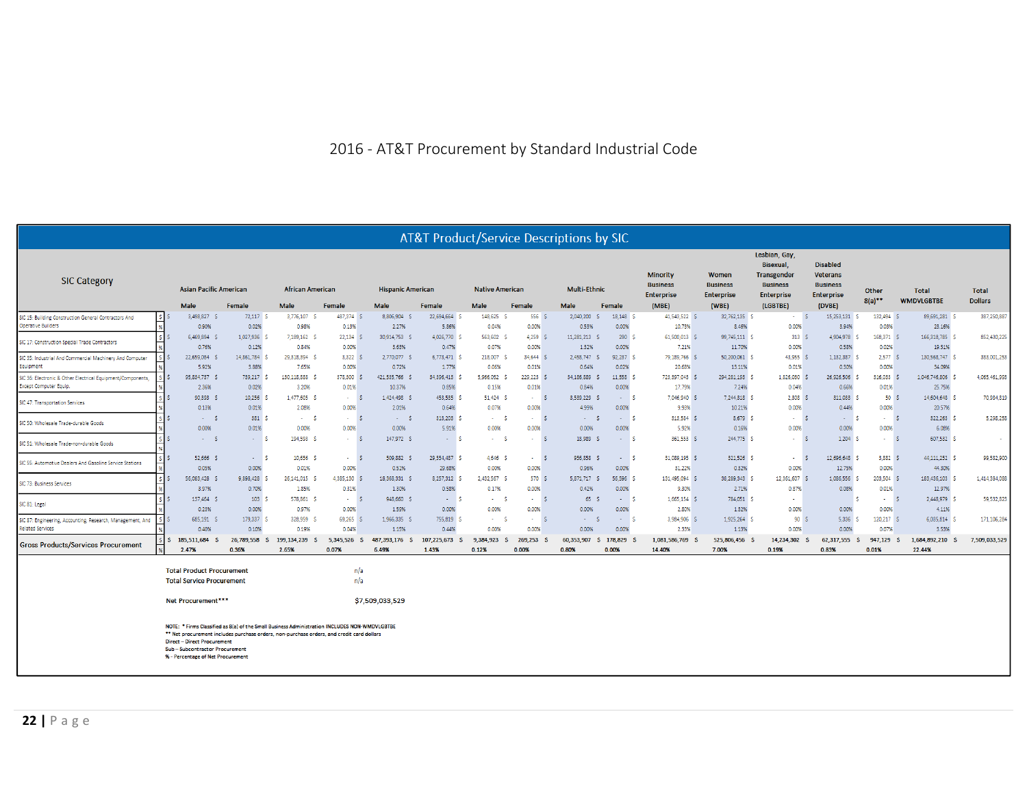2016 ‐ AT&T Procurement by Standard Industrial Code

#### AT&T Product/Service Descriptions by SIC

| <b>SIC Category</b>                                                                   |    |                                                                                                                                                                                                                                                            |                           |                       |                               |                          |                      |                        |                               |                       |                        | <b>Minority</b>                      | Women                                | Lesbian, Gay,<br>Bisexual,<br><b>Transgender</b> | <b>Disabled</b><br><b>Veterans</b>   |                          |                         |                |
|---------------------------------------------------------------------------------------|----|------------------------------------------------------------------------------------------------------------------------------------------------------------------------------------------------------------------------------------------------------------|---------------------------|-----------------------|-------------------------------|--------------------------|----------------------|------------------------|-------------------------------|-----------------------|------------------------|--------------------------------------|--------------------------------------|--------------------------------------------------|--------------------------------------|--------------------------|-------------------------|----------------|
|                                                                                       |    | <b>Asian Pacific American</b>                                                                                                                                                                                                                              |                           | African American      |                               | <b>Hispanic American</b> |                      | <b>Native American</b> |                               | Multi-Ethnic          |                        | <b>Business</b><br><b>Enterprise</b> | <b>Business</b><br><b>Enterprise</b> | <b>Business</b><br><b>Enterprise</b>             | <b>Business</b><br><b>Enterprise</b> | Other                    | <b>Total</b>            | Total          |
|                                                                                       |    | Male                                                                                                                                                                                                                                                       | Female                    | Male                  | Female                        | <b>Male</b>              | Female               | <b>Male</b>            | Female                        | <b>Male</b>           | Female                 | (MBE)                                | (WBE)                                | (LGBTBE)                                         | (DVBE)                               | $8(a)$ **                | <b>WMDVLGBTBE</b>       | <b>Dollars</b> |
| SIC 15: Building Construction General Contractors And<br><b>Operative Builders</b>    |    | 3,498,827 \$<br>0.90%                                                                                                                                                                                                                                      | 72,117 \$<br>0.02%        | 3,776,107<br>0.98%    | 487.374<br>0.13%              | 8,806,904 \$             | 22,694,664<br>5.86%  | 148,625 \$<br>0.04%    | 556 \$<br>0.00%               | 2,040,200 \$<br>0.53% | 18,148 \$<br>0.00%     | 41,543,522 \$<br>10.73%              | 32,762,135 \$<br>8.46%               | $\mathsf{S}$<br>$\sim$<br>0.00%                  | 15,253,131<br>3.94%                  | 132,494<br>0.03%         | 89,691,281 \$<br>23.16% | 387,250,887    |
| SIC 17: Construction Special Trade Contractors                                        |    | 6,469,894 \$                                                                                                                                                                                                                                               | 1,027,936 \$              | 7,189,162 \$          | 22,134                        | 2.27%<br>30,914,753 \$   | 4,026,770            | 563,602 \$             | 4,259 \$                      | 11,281,213 \$         | 290S                   | 61,500,013 \$                        | 99,745,111 \$                        | $313$ $S$                                        | 4,904,978                            | 168,371 \$               | 166, 318, 785 \$        | 852,430,225    |
|                                                                                       |    | 0.76%                                                                                                                                                                                                                                                      | 0.12%                     | 0.84%                 | 0.00%                         | 3.63%                    | 0.47%                | 0.07%                  | 0.00%                         | 1.32%                 | 0.00%                  | 7.21%                                | 11.70%                               | 0.00%                                            | 0.58%                                | 0.02%                    | 19.51%                  |                |
| SIC 35: Industrial And Commercial Machinery And Computer<br>Equipment                 |    | 22,659,084<br>5.92%                                                                                                                                                                                                                                        | 14,861,784 \$<br>3.88%    | 29,318,394<br>7.65%   | 3,322 S<br>0.00%              | 2,770,077 \$<br>0.72%    | 6,773,471<br>1.77%   | 218,007 S<br>0.06%     | 34,644 S<br>0.01%             | 2,458,747 \$<br>0.64% | 92,237 S<br>0.02%      | 79.189.766 S<br>20.68%               | 50,200,061<br>13.11%                 | 43,955 S<br>0.01%                                | 1,132,387<br>0.30%                   | 2.577 S<br>0.00%         | 130,568,747 S<br>34.09% | 383,001,253    |
| SIC 36: Electronic & Other Electrical Equipment/Components,<br>Except Computer Equip. |    | 95.834.737                                                                                                                                                                                                                                                 | 739,217                   | 130,118,888           | 378,300 S                     | 421,535,766 \$           | 34,396,413           | 5,966,052 \$           | 229,223 S                     | 34,186,889            | 11,558 \$              | 723,397,043 \$                       | 294,281,193                          | 1,826,030 \$                                     | 26,926,506                           | 316,033                  | 1,046,746,806 \$        | 4,065,461,993  |
|                                                                                       |    | 2.36%<br>90,393 S                                                                                                                                                                                                                                          | 0.02%<br>$10,256$ \$      | 3.20%<br>1,477,605 \$ | 0.01%<br>$\sim$ $\sim$ $\sim$ | 10.37%<br>1,424,498 \$   | 0.85%<br>453,535     | 0.15%<br>51,424 \$     | 0.01%                         | 0.84%<br>3,539,229 \$ | 0.00%<br>$\sim$ $\sim$ | 17.79%<br>7,046,940 \$               | 7.24%<br>7,244,318 \$                | 0.04%<br>2,308 \$                                | 0.66%<br>311,033                     | 0.01%<br>50 <sup>°</sup> | 25.75%<br>14,604,648 \$ | 70,984,819     |
| SIC 47: Transportation Services                                                       |    | 0.13%                                                                                                                                                                                                                                                      | 0.01%                     | 2.08%                 | 0.00%                         | 2.01%                    | 0.64%                | 0.07%                  | 0.00%                         | 4.99%                 | 0.00%                  | 9.93%                                | 10.21%                               | 0.00%                                            | 0.44%                                | 0.00%                    | 20.57%                  |                |
| SIC 50: Wholesale Trade-durable Goods                                                 |    | $\sim$ $S$<br>0.00%                                                                                                                                                                                                                                        | 381S<br>0.01%             | $\sim$ 8<br>0.00%     | $\sim$ $S$<br>0.00%           | $-5$<br>0.00%            | 313,203<br>5.91%     | $\sim$ s<br>0.00%      | $\sim$ $\sim$ $\sim$<br>0.00% | $-5$<br>0.00%         | $-5$<br>0.00%          | 313,584 \$<br>5.92%                  | 8,679 \$<br>0.16%                    | $\sim$<br>$\sim$<br>0.00%                        | <b>Service</b><br>0.00%              | $\sim$ $S$<br>0.00%      | 322,263 S<br>6.08%      | 5,298,258      |
| SIC 51: Wholesale Trade-non-durable Goods                                             |    | $\sim$ S                                                                                                                                                                                                                                                   | $\sim$ 5                  | 194,593 \$            | $\sim$ $\sim$ 3               | 147,972 \$               | $\sim$               | $\sim$ S               |                               | 18.989 S              | $\sim$ 10 $\pm$        | 361,553 \$                           | 244,775 S                            | $\sim$                                           | 1,204                                | $\sim$                   | 607,532 S               | $\sim$         |
| SIC 55: Automotive Dealers And Gasoline Service Stations                              |    | 52,666 \$<br>0.05%                                                                                                                                                                                                                                         | $\sim$ $\sim$<br>0.00%    | 10.656 S<br>0.01%     | $\sim$ S<br>0.00%             | 509.882 \$<br>0.51%      | 29.554.487<br>29.68% | 4,646 S<br>0.00%       | $\sim$ $\sim$<br>0.00%        | 956,858 \$<br>0.96%   | $\sim$ $\sim$<br>0.00% | 31,089,195 \$<br>31.22%              | 321,526 \$<br>0.32%                  | <b>S</b><br>$\sim$<br>0.00%                      | 12,696,648<br>12.75%                 | 3.882 S<br>0.00%         | 44,111,252 \$<br>44.30% | 99,582,900     |
| SIC 73: Business Services                                                             |    | 56.083.428                                                                                                                                                                                                                                                 | 9.898.428                 | 26.141.015            | 4.385.130                     | 18.368.331 S             | 8,257,312            | 2.432.567 \$           | 570 S                         | 5.871.717 \$          | 56.596 S               | 131,495,094 \$                       | 38,289,343                           | 12,361,607                                       | 1,086,556                            | 203.504 3                | 183,436,103             | 1,414,384,088  |
|                                                                                       |    | 3.97%                                                                                                                                                                                                                                                      | 0.70%                     | 1.85%                 | 0.31%                         | 1.30%                    | 0.58%                | 0.17%                  | 0.00%                         | 0.42%                 | 0.00%                  | 9.30%                                | 2.71%                                | 0.87%                                            | 0.08%                                | 0.01%                    | 12.97%                  |                |
| SIC 81: Legal                                                                         |    | 137.464 S<br>0.23%                                                                                                                                                                                                                                         | 103 <sup>3</sup><br>0.00% | 578,861 \$<br>0.97%   | - 11<br>0.00%                 | 948,660 \$<br>1.59%      | $\sim 10$<br>0.00%   | $\sim$ s<br>0.00%      | $\sim$ $\sim$ $\sim$<br>0.00% | $65-5$<br>0.00%       | $-15$<br>0.00%         | 1,665,154 \$<br>2.80%                | 784,051<br>1.32%                     | $\sim$<br>0.00%                                  | 0.00%                                | $\sim$<br>0.00%          | 2,448,979 \$<br>4.11%   | 59,532,823     |
| SIC 87: Engineering, Accounting, Research, Management, And                            |    | 685,191 \$                                                                                                                                                                                                                                                 | 179.337 S                 | 328,959               | 69,265 9                      | 1,966,335 \$             | 755,819              | . s                    | $\sim$ $\sim$ $\sim$          | - S                   | $\sim$ $\sim$          | 3,984,906 \$                         | 1,925,264                            | 90 S                                             | 5,336                                | 120,217 S                | 6,035,814 \$            | 171,106,284    |
| <b>Related Services</b>                                                               |    | 0.40%                                                                                                                                                                                                                                                      | 0.10%                     | 0.19%                 | 0.04%                         | 1.15%                    | 0.44%                | 0.00%                  | 0.00%                         | 0.00%                 | 0.00%                  | 2.33%                                | 1.13%                                | 0.00%                                            | 0.00%                                | 0.07%                    | 3.53%                   |                |
| <b>Gross Products/Services Procurement</b>                                            | -S | 185,511,684<br>- 5                                                                                                                                                                                                                                         | 26,789,558                | 199,134,239<br>-S     | 5,345,526<br><b>s</b>         | 487,393,176 \$           | 107,225,673<br>-S    | 9,384,923<br>- 5       | 269,253<br>- 5                | 60,353,907            | 178,829<br>-S<br>-S    | 1,081,586,769 \$                     | 525,806,456 \$                       | 14,234,302<br>-S                                 | 62,317,555<br>- S                    | 947,129<br>- S           | 1,684,892,210 \$        | 7,509,033,529  |
|                                                                                       |    | 2.47%                                                                                                                                                                                                                                                      | 0.36%                     | 2.65%                 | 0.07%                         | 6.49%                    | 1.43%                | 0.12%                  | 0.00%                         | 0.80%                 | 0.00%                  | 14.40%                               | 7.00%                                | 0.19%                                            | 0.83%                                | 0.01%                    | 22.44%                  |                |
| <b>Total Product Procurement</b><br>n/a<br>n/a<br><b>Total Service Procurement</b>    |    |                                                                                                                                                                                                                                                            |                           |                       |                               |                          |                      |                        |                               |                       |                        |                                      |                                      |                                                  |                                      |                          |                         |                |
| Net Procurement***<br>\$7,509,033,529                                                 |    |                                                                                                                                                                                                                                                            |                           |                       |                               |                          |                      |                        |                               |                       |                        |                                      |                                      |                                                  |                                      |                          |                         |                |
|                                                                                       |    | NOTE: * Firms Classified as 8(a) of the Small Business Administration INCLUDES NON-WMDVLGBTBE<br>** Net procurement includes purchase orders, non-purchase orders, and credit card dollars<br>Direct - Direct Procurement<br>Sub-Subcontractor Procurement |                           |                       |                               |                          |                      |                        |                               |                       |                        |                                      |                                      |                                                  |                                      |                          |                         |                |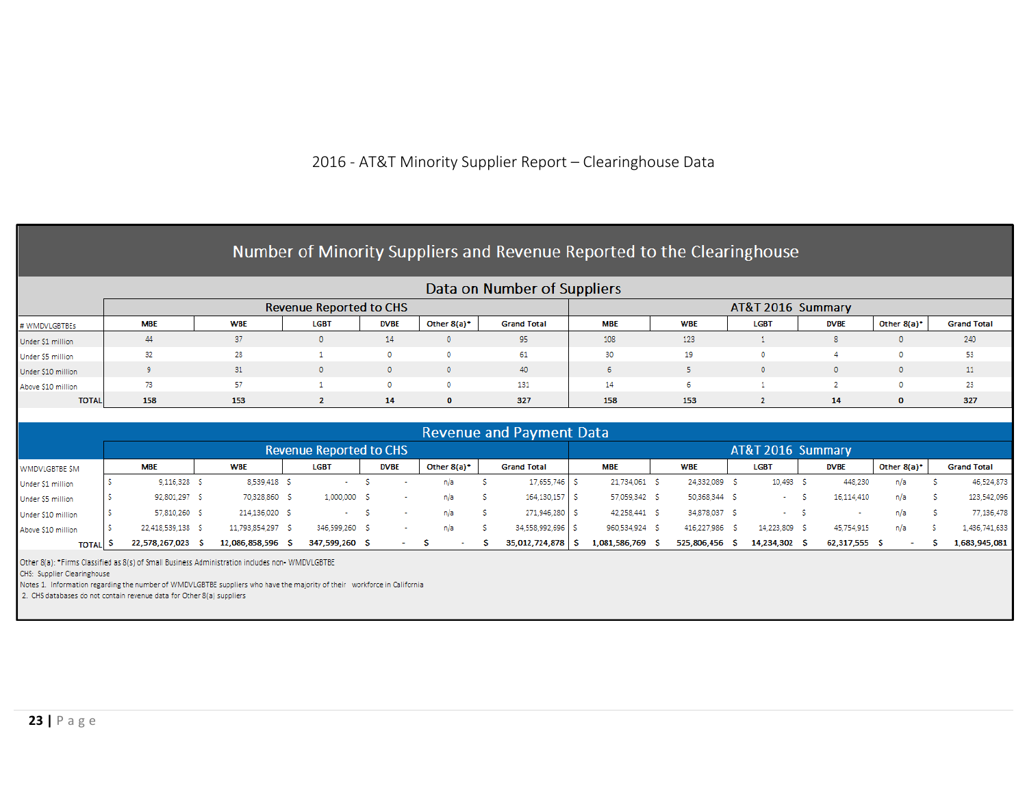2016 ‐ AT&T Minority Supplier Report – Clearinghouse Data

# Number of Minority Suppliers and Revenue Reported to the Clearinghouse

Data on Number of Cunnliard

|                    |            |            |                         |             |                | Data Off Nutfliper Of Suppliers |            |            |             |             |                |                    |
|--------------------|------------|------------|-------------------------|-------------|----------------|---------------------------------|------------|------------|-------------|-------------|----------------|--------------------|
|                    |            |            | Revenue Reported to CHS |             |                | AT&T 2016 Summary               |            |            |             |             |                |                    |
| # WMDVLGBTBEs      | <b>MBE</b> | <b>WBE</b> | <b>LGBT</b>             | <b>DVBE</b> | Other $8(a)^*$ | <b>Grand Total</b>              | <b>MBE</b> | <b>WBE</b> | <b>LGBT</b> | <b>DVBE</b> | Other $8(a)^*$ | <b>Grand Total</b> |
| Under \$1 million  | 44         | 37         |                         | 14          |                | 95                              | 108        | 123        |             |             |                | 240                |
| Under \$5 million  | 32         | 28         |                         |             |                | 61                              | 30         | 19         |             |             |                | 53                 |
| Under \$10 million |            | 31         |                         |             | 0              | 40                              |            |            |             |             |                | 11                 |
| Above \$10 million | 73         | 57         |                         |             |                | 131                             | 14         |            |             |             |                | 23                 |
| <b>TOTAL</b>       | 158        | 153        |                         | 14          | $\mathbf{O}$   | 327                             | 158        | 153        |             | 14          | $\mathbf{0}$   | 327                |

| <b>Revenue and Payment Data</b> |
|---------------------------------|
|---------------------------------|

|                    |                |                   | Revenue Reported to CHS |  |             |                |                          | AT&T 2016 Summary   |               |                |               |               |                |                    |
|--------------------|----------------|-------------------|-------------------------|--|-------------|----------------|--------------------------|---------------------|---------------|----------------|---------------|---------------|----------------|--------------------|
| WMDVLGBTBE SM      | <b>MBE</b>     | <b>WBE</b>        | LGB <sub>1</sub>        |  | <b>DVBE</b> | Other $8(a)^*$ |                          | <b>Grand Total</b>  | <b>MBE</b>    | <b>WBE</b>     | <b>LGBT</b>   | <b>DVBE</b>   | Other $8(a)^*$ | <b>Grand Total</b> |
| Under \$1 million  | $9,116,328$ \$ | 8,539,418         |                         |  |             |                |                          | 17,655,746 \$       | 21,734,061    | 24,332,089 \$  | 10,493        | 448.230       | n/a            | 46,524,873         |
| Under \$5 million  | 92,801,297 \$  | 70,328,860        | 1,000,000               |  |             | n/a            |                          | 164,130,157         | 57,059,342 \$ | 50,368,344 \$  |               | 16,114,410    | n/a            | 123,542,096        |
| Under \$10 million | 57,810,260 \$  | 214,136,020 \$    |                         |  |             |                |                          | 271,946,280         | 42.258.441    | 34,878,037 \$  |               |               | n/a            | 77,136,478         |
| Above \$10 million | 22,418,539,138 | 11.793.854.297    | 346.599.260             |  |             | n/a            |                          | 34.558.992.696 S    | 960.534.924   | 416.227.986    | 14.223.809    | 45.754.915    | n/a            | 1,436,741,633      |
| <b>TOTAL</b>       | 22,578,267,023 | 12,086,858,596 \$ | 347,599,260 S           |  |             |                | $\overline{\phantom{a}}$ | 35,012,724,878   \$ | 1,081,586,769 | 525,806,456 \$ | 14,234,302 \$ | 62,317,555 \$ |                | 1,683,945,081      |

Other 8(a): \*Firms Classified as 8(s) of Small Business Administration includes non- WMDVLGBTBE

CHS: Supplier Clearinghouse

Notes 1. Information regarding the number of WMDVLGBTBE suppliers who have the majority of their workforce in California

2. CHS databases do not contain revenue data for Other 8(a) suppliers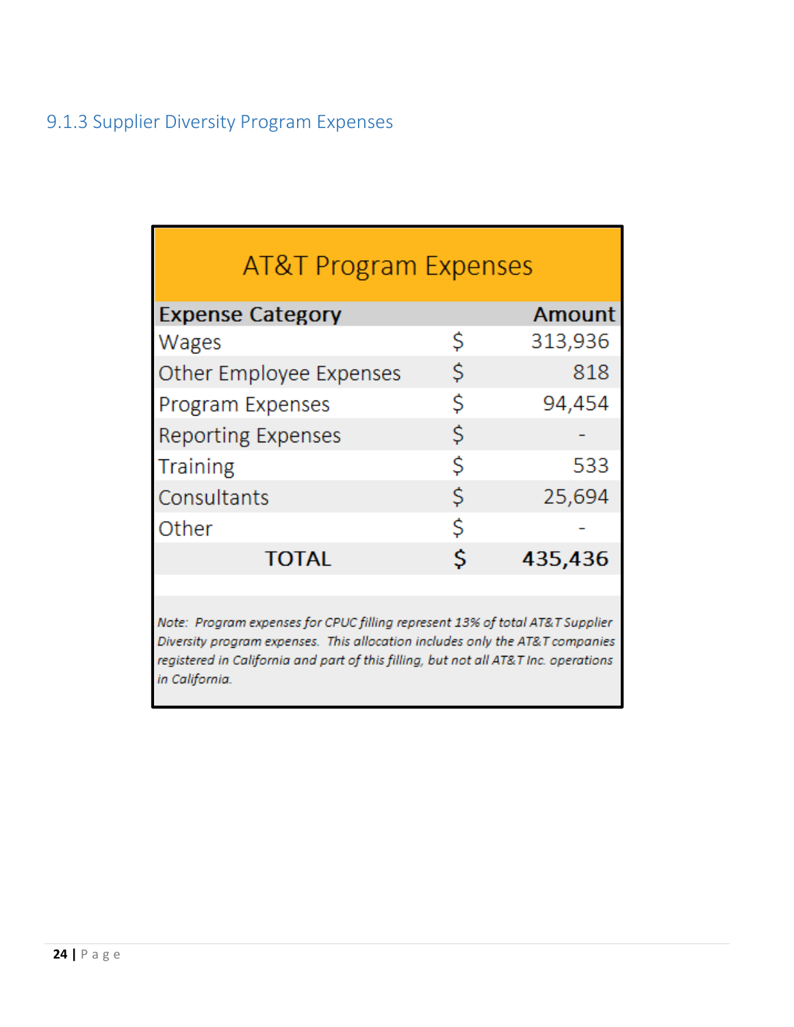# 9.1.3 Supplier Diversity Program Expenses

| <b>AT&amp;T Program Expenses</b> |        |         |
|----------------------------------|--------|---------|
| <b>Expense Category</b>          | Amount |         |
| Wages                            | Ś      | 313,936 |
| Other Employee Expenses          | S      | 818     |
| <b>Program Expenses</b>          | Ś      | 94,454  |
| <b>Reporting Expenses</b>        | Ś      |         |
| <b>Training</b>                  | Ś      | 533     |
| Consultants                      | Ś      | 25,694  |
| Other                            | Ś      |         |
| <b>TOTAL</b>                     | S      | 435,436 |

Note: Program expenses for CPUC filling represent 13% of total AT&T Supplier Diversity program expenses. This allocation includes only the AT&T companies registered in California and part of this filling, but not all AT&T Inc. operations in California.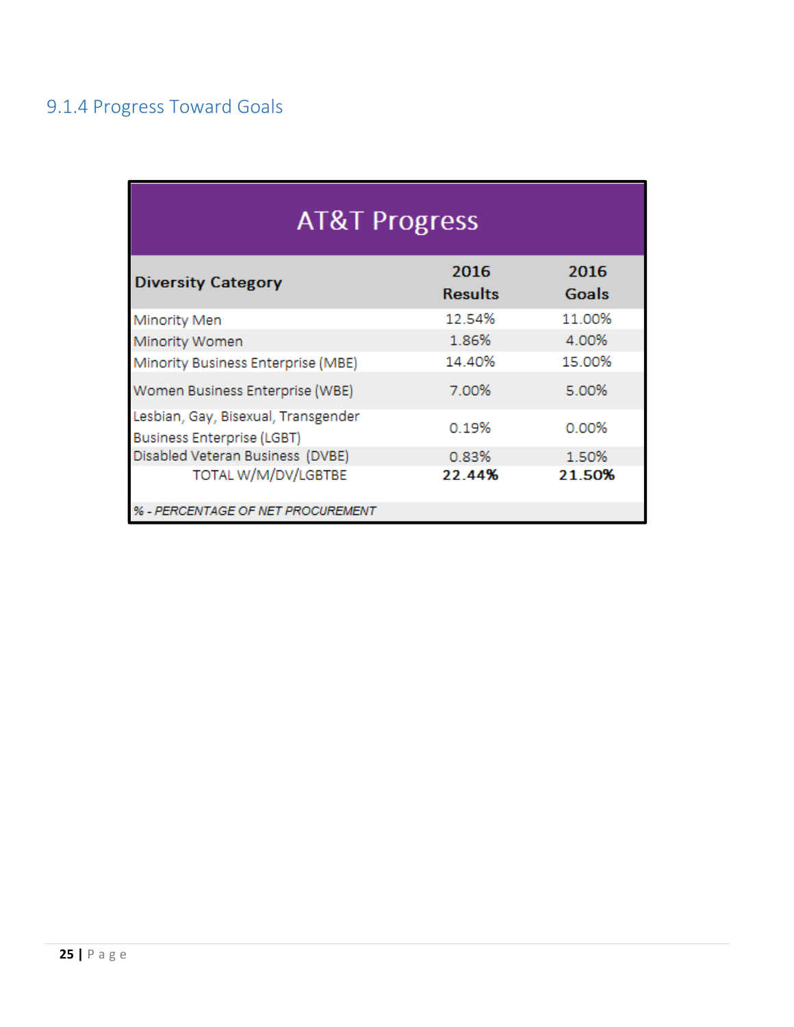| <b>AT&amp;T Progress</b>                                                 |                        |               |  |  |  |  |  |  |  |  |  |  |  |
|--------------------------------------------------------------------------|------------------------|---------------|--|--|--|--|--|--|--|--|--|--|--|
| <b>Diversity Category</b>                                                | 2016<br><b>Results</b> | 2016<br>Goals |  |  |  |  |  |  |  |  |  |  |  |
| Minority Men                                                             | 12.54%                 | 11.00%        |  |  |  |  |  |  |  |  |  |  |  |
| Minority Women                                                           | 1.86%                  | 4.00%         |  |  |  |  |  |  |  |  |  |  |  |
| Minority Business Enterprise (MBE)                                       | 14.40%                 | 15.00%        |  |  |  |  |  |  |  |  |  |  |  |
| Women Business Enterprise (WBE)                                          | 7.00%                  | 5.00%         |  |  |  |  |  |  |  |  |  |  |  |
| Lesbian, Gay, Bisexual, Transgender<br><b>Business Enterprise (LGBT)</b> | 0.19%                  | 0.00%         |  |  |  |  |  |  |  |  |  |  |  |
| Disabled Veteran Business (DVBE)                                         | 0.83%                  | 1.50%         |  |  |  |  |  |  |  |  |  |  |  |
| TOTAL W/M/DV/LGBTBE                                                      | 22.44%                 | 21.50%        |  |  |  |  |  |  |  |  |  |  |  |
| % - PERCENTAGE OF NET PROCUREMENT                                        |                        |               |  |  |  |  |  |  |  |  |  |  |  |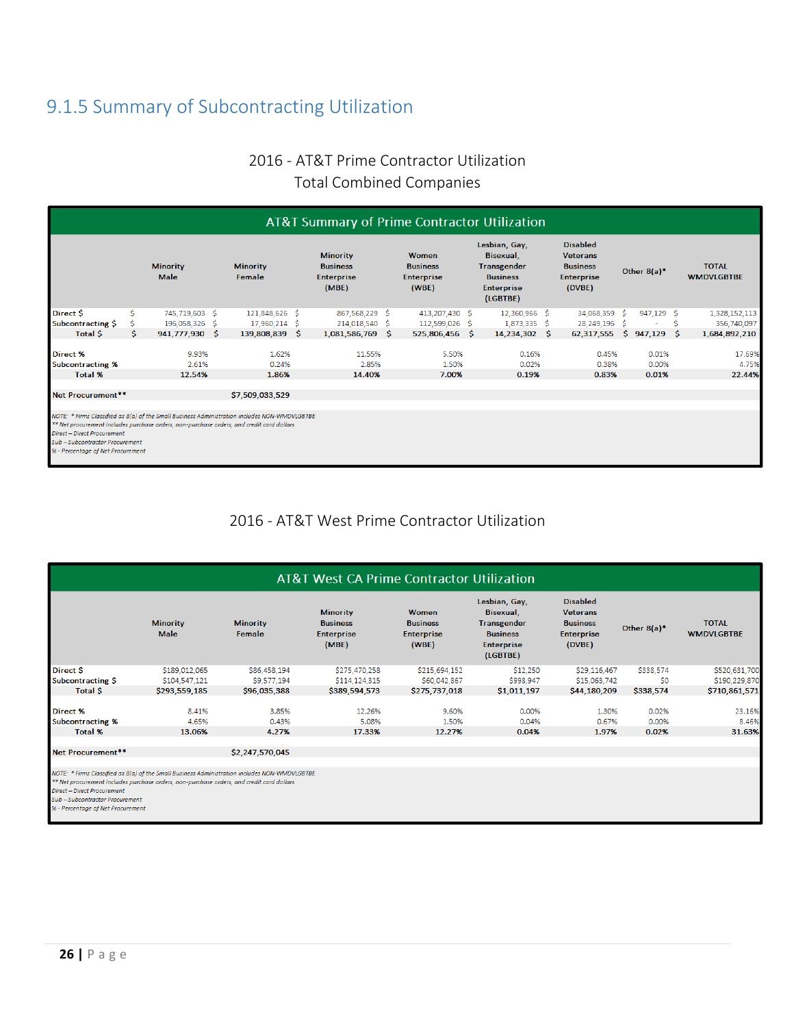# 9.1.5 Summary of Subcontracting Utilization

### 2016 ‐ AT&T Prime Contractor Utilization Total Combined Companies

|                                                                                                                                                                                                                                                                                                 |                                                      |                |  |                                                                  |                                                        | AT&T Summary of Prime Contractor Utilization                                                  |                |                                                                                      |                 |                |               |  |                                   |  |               |
|-------------------------------------------------------------------------------------------------------------------------------------------------------------------------------------------------------------------------------------------------------------------------------------------------|------------------------------------------------------|----------------|--|------------------------------------------------------------------|--------------------------------------------------------|-----------------------------------------------------------------------------------------------|----------------|--------------------------------------------------------------------------------------|-----------------|----------------|---------------|--|-----------------------------------|--|---------------|
|                                                                                                                                                                                                                                                                                                 | <b>Minority</b><br><b>Minority</b><br>Male<br>Female |                |  | <b>Minority</b><br><b>Business</b><br><b>Enterprise</b><br>(MBE) | Women<br><b>Business</b><br><b>Enterprise</b><br>(WBE) | Lesbian, Gay,<br>Bisexual.<br>Transgender<br><b>Business</b><br><b>Enterprise</b><br>(LGBTBE) |                | <b>Disabled</b><br><b>Veterans</b><br><b>Business</b><br><b>Enterprise</b><br>(DVBE) |                 | Other $8(a)^*$ |               |  | <b>TOTAL</b><br><b>WMDVLGBTBE</b> |  |               |
| Direct \$                                                                                                                                                                                                                                                                                       |                                                      | 745,719,603 \$ |  | 121,848,626 \$                                                   |                                                        | 867,568,229 \$                                                                                | 413,207,430 \$ |                                                                                      | 12,360,966 \$   |                | 34,068,359 \$ |  | 947,129 \$                        |  | 1,328,152,113 |
| Subcontracting \$                                                                                                                                                                                                                                                                               |                                                      | 196,058,326 \$ |  | 17,960,214 \$                                                    |                                                        | 214,018,540 \$                                                                                | 112,599,026 \$ |                                                                                      | 1,873,335 \$    |                | 28,249,196 \$ |  |                                   |  | 356,740,097   |
| Total \$                                                                                                                                                                                                                                                                                        | \$.                                                  | 941,777,930 \$ |  | 139,808,839 \$                                                   |                                                        | 1,081,586,769 \$                                                                              | 525,806,456 \$ |                                                                                      | $14,234,302$ \$ |                | 62,317,555    |  | $$947,129$ \$                     |  | 1,684,892,210 |
|                                                                                                                                                                                                                                                                                                 |                                                      |                |  |                                                                  |                                                        |                                                                                               |                |                                                                                      |                 |                |               |  |                                   |  |               |
| Direct %                                                                                                                                                                                                                                                                                        |                                                      | 9.93%          |  | 1.62%                                                            |                                                        | 11.55%                                                                                        | 5.50%          |                                                                                      | 0.16%           |                | 0.45%         |  | 0.01%                             |  | 17.69%        |
| <b>Subcontracting %</b>                                                                                                                                                                                                                                                                         |                                                      | 2.61%          |  | 0.24%                                                            |                                                        | 2.85%                                                                                         | 1.50%          |                                                                                      | 0.02%           |                | 0.38%         |  | 0.00%                             |  | 4.75%         |
| <b>Total %</b>                                                                                                                                                                                                                                                                                  |                                                      | 12.54%         |  | 1.86%                                                            |                                                        | 14.40%                                                                                        | 7.00%          |                                                                                      | 0.19%           |                | 0.83%         |  | 0.01%                             |  | 22.44%        |
|                                                                                                                                                                                                                                                                                                 |                                                      |                |  |                                                                  |                                                        |                                                                                               |                |                                                                                      |                 |                |               |  |                                   |  |               |
| Net Procurement**                                                                                                                                                                                                                                                                               |                                                      |                |  | \$7,509,033,529                                                  |                                                        |                                                                                               |                |                                                                                      |                 |                |               |  |                                   |  |               |
|                                                                                                                                                                                                                                                                                                 |                                                      |                |  |                                                                  |                                                        |                                                                                               |                |                                                                                      |                 |                |               |  |                                   |  |               |
| NOTE: * Firms Classified as 8(a) of the Small Business Administration includes NON-WMDVLGBTBE<br>** Net procurement includes purchase orders, non-purchase orders, and credit card dollars<br>Direct - Direct Procurement<br>Sub-Subcontractor Procurement<br>% - Percentage of Net Procurement |                                                      |                |  |                                                                  |                                                        |                                                                                               |                |                                                                                      |                 |                |               |  |                                   |  |               |

### 2016 ‐ AT&T West Prime Contractor Utilization

|                                                                                                                                                                                                                                                              |                                |                             | AT&T West CA Prime Contractor Utilization                        |                                                        |                                                                                               |                                                                                      |                         |                                   |
|--------------------------------------------------------------------------------------------------------------------------------------------------------------------------------------------------------------------------------------------------------------|--------------------------------|-----------------------------|------------------------------------------------------------------|--------------------------------------------------------|-----------------------------------------------------------------------------------------------|--------------------------------------------------------------------------------------|-------------------------|-----------------------------------|
|                                                                                                                                                                                                                                                              | <b>Minority</b><br><b>Male</b> | <b>Minority</b><br>Female   | <b>Minority</b><br><b>Business</b><br><b>Enterprise</b><br>(MBE) | Women<br><b>Business</b><br><b>Enterprise</b><br>(WBE) | Lesbian, Gay,<br>Bisexual.<br>Transgender<br><b>Business</b><br><b>Enterprise</b><br>(LGBTBE) | <b>Disabled</b><br><b>Veterans</b><br><b>Business</b><br><b>Enterprise</b><br>(DVBE) | Other $8(a)^*$          | <b>TOTAL</b><br><b>WMDVLGBTBE</b> |
| Direct \$<br>Subcontracting \$                                                                                                                                                                                                                               | \$189,012,065<br>\$104,547,121 | \$86,458,194<br>\$9,577,194 | \$275,470,258<br>\$114,124,315                                   | \$215,694,152<br>\$60,042,867                          | \$12,250<br>\$998,947                                                                         | \$29,116,467<br>\$15,063,742                                                         | \$338,574<br>\$0        | \$520,631,700<br>\$190,229,870    |
| Total \$                                                                                                                                                                                                                                                     | \$293,559,185                  | \$96,035,388                | \$389,594,573                                                    | \$275,737,018                                          | \$1,011,197                                                                                   | \$44,180,209                                                                         | \$338,574               | \$710,861,571                     |
| Direct %<br><b>Subcontracting %</b><br><b>Total %</b>                                                                                                                                                                                                        | 8.41%<br>4.65%<br>13.06%       | 3.85%<br>0.43%<br>4.27%     | 12.26%<br>5.08%<br>17.33%                                        | 9.60%<br>1.50%<br>12.27%                               | 0.00%<br>0.04%<br>0.04%                                                                       | 1.30%<br>0.67%<br>1.97%                                                              | 0.02%<br>0.00%<br>0.02% | 23.16%<br>8.46%<br>31.63%         |
| Net Procurement**                                                                                                                                                                                                                                            |                                | \$2,247,570,045             |                                                                  |                                                        |                                                                                               |                                                                                      |                         |                                   |
| NOTE: * Firms Classified as 8(a) of the Small Business Administration includes NON-WMDVLGBTBE<br>** Net procurement includes purchase orders, non-purchase orders, and credit card dollars<br>Direct - Direct Procurement<br>Sub - Subcontractor Procurement |                                |                             |                                                                  |                                                        |                                                                                               |                                                                                      |                         |                                   |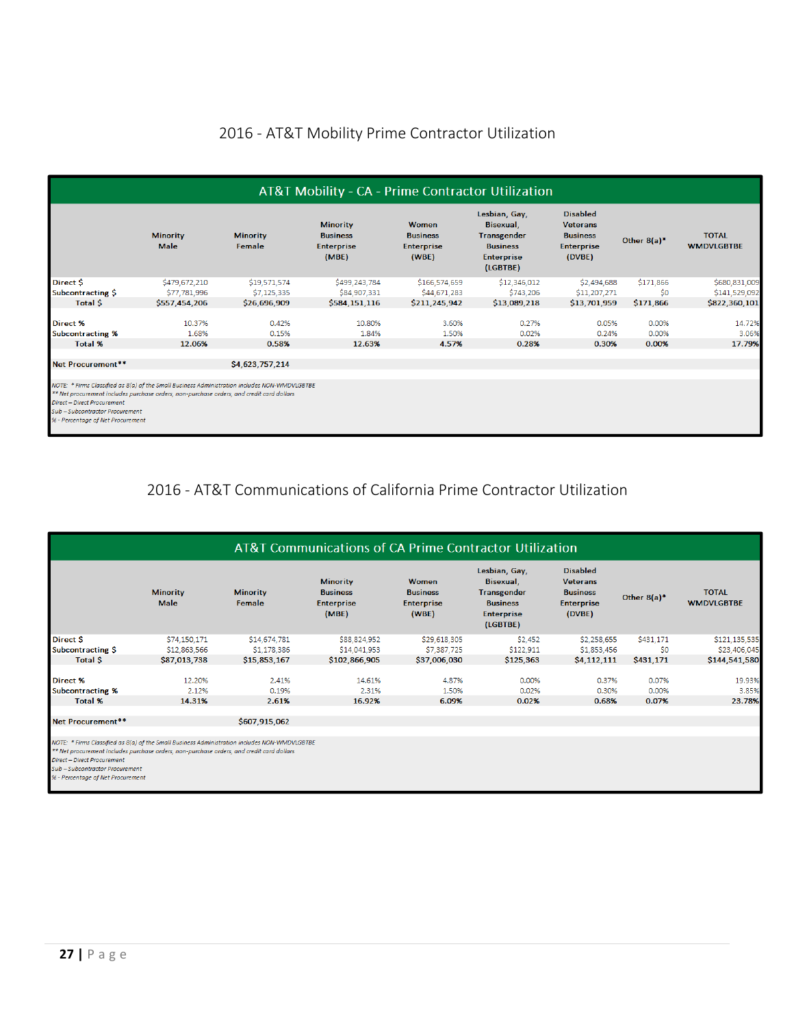### 2016 ‐ AT&T Mobility Prime Contractor Utilization

|                                                                                                                                                                                                                                                                                                 |                         |                           | AT&T Mobility - CA - Prime Contractor Utilization                |                                                        |                                                                                               |                                                                                      |                |                                   |
|-------------------------------------------------------------------------------------------------------------------------------------------------------------------------------------------------------------------------------------------------------------------------------------------------|-------------------------|---------------------------|------------------------------------------------------------------|--------------------------------------------------------|-----------------------------------------------------------------------------------------------|--------------------------------------------------------------------------------------|----------------|-----------------------------------|
|                                                                                                                                                                                                                                                                                                 | <b>Minority</b><br>Male | <b>Minority</b><br>Female | <b>Minority</b><br><b>Business</b><br><b>Enterprise</b><br>(MBE) | Women<br><b>Business</b><br><b>Enterprise</b><br>(WBE) | Lesbian, Gay,<br>Bisexual.<br>Transgender<br><b>Business</b><br><b>Enterprise</b><br>(LGBTBE) | <b>Disabled</b><br><b>Veterans</b><br><b>Business</b><br><b>Enterprise</b><br>(DVBE) | Other $8(a)^*$ | <b>TOTAL</b><br><b>WMDVLGBTBE</b> |
| Direct \$                                                                                                                                                                                                                                                                                       | \$479,672,210           | \$19,571,574              | \$499,243,784                                                    | \$166,574,659                                          | \$12,346,012                                                                                  | \$2,494,688                                                                          | \$171,866      | \$680,831,009                     |
| Subcontracting \$                                                                                                                                                                                                                                                                               | \$77,781,996            | \$7,125,335               | \$84,907,331                                                     | \$44,671,283                                           | \$743,206                                                                                     | \$11,207,271                                                                         | \$0            | \$141,529,092                     |
| Total \$                                                                                                                                                                                                                                                                                        | \$557,454,206           | \$26,696,909              | \$584,151,116                                                    | \$211,245,942                                          | \$13,089,218                                                                                  | \$13,701,959                                                                         | \$171,866      | \$822,360,101                     |
| Direct %                                                                                                                                                                                                                                                                                        | 10.37%                  | 0.42%                     | 10.80%                                                           | 3.60%                                                  | 0.27%                                                                                         | 0.05%                                                                                | 0.00%          | 14.72%                            |
| <b>Subcontracting %</b>                                                                                                                                                                                                                                                                         | 1.68%                   | 0.15%                     | 1.84%                                                            | 1.50%                                                  | 0.02%                                                                                         | 0.24%                                                                                | 0.00%          | 3.06%                             |
| <b>Total %</b>                                                                                                                                                                                                                                                                                  | 12.06%                  | 0.58%                     | 12.63%                                                           | 4.57%                                                  | 0.28%                                                                                         | 0.30%                                                                                | 0.00%          | 17.79%                            |
| Net Procurement**                                                                                                                                                                                                                                                                               |                         | \$4,623,757,214           |                                                                  |                                                        |                                                                                               |                                                                                      |                |                                   |
| NOTE: * Firms Classified as 8(a) of the Small Business Administration includes NON-WMDVLGBTBE<br>** Net procurement includes purchase orders, non-purchase orders, and credit card dollars<br>Direct - Direct Procurement<br>Sub-Subcontractor Procurement<br>% - Percentage of Net Procurement |                         |                           |                                                                  |                                                        |                                                                                               |                                                                                      |                |                                   |

### 2016 ‐ AT&T Communications of California Prime Contractor Utilization

|                                                                                               |                         |                           | AT&T Communications of CA Prime Contractor Utilization           |                                                        |                                                                                               |                                                                                      |                |                                   |
|-----------------------------------------------------------------------------------------------|-------------------------|---------------------------|------------------------------------------------------------------|--------------------------------------------------------|-----------------------------------------------------------------------------------------------|--------------------------------------------------------------------------------------|----------------|-----------------------------------|
|                                                                                               | <b>Minority</b><br>Male | <b>Minority</b><br>Female | <b>Minority</b><br><b>Business</b><br><b>Enterprise</b><br>(MBE) | Women<br><b>Business</b><br><b>Enterprise</b><br>(WBE) | Lesbian, Gay,<br>Bisexual.<br>Transgender<br><b>Business</b><br><b>Enterprise</b><br>(LGBTBE) | <b>Disabled</b><br><b>Veterans</b><br><b>Business</b><br><b>Enterprise</b><br>(DVBE) | Other $8(a)^*$ | <b>TOTAL</b><br><b>WMDVLGBTBE</b> |
| Direct \$                                                                                     | \$74,150,171            | \$14,674,781              | \$88,824,952                                                     | \$29,618,305                                           | \$2,452                                                                                       | \$2,258,655                                                                          | \$431,171      | \$121,135,535                     |
| Subcontracting \$                                                                             | \$12,863,566            | \$1,178,386               | \$14,041,953                                                     | \$7,387,725                                            | \$122,911                                                                                     | \$1,853,456                                                                          | \$0            | \$23,406,045                      |
| Total \$                                                                                      | \$87,013,738            | \$15,853,167              | \$102,866,905                                                    | \$37,006,030                                           | \$125,363                                                                                     | \$4,112,111                                                                          | \$431,171      | \$144,541,580                     |
| Direct %                                                                                      | 12.20%                  | 2.41%                     | 14.61%                                                           | 4.87%                                                  | 0.00%                                                                                         | 0.37%                                                                                | 0.07%          | 19.93%                            |
| Subcontracting %                                                                              | 2.12%                   | 0.19%                     | 2.31%                                                            | 1.50%                                                  | 0.02%                                                                                         | 0.30%                                                                                | 0.00%          | 3.85%                             |
| Total %                                                                                       | 14.31%                  | 2.61%                     | 16.92%                                                           | 6.09%                                                  | 0.02%                                                                                         | 0.68%                                                                                | 0.07%          | 23.78%                            |
|                                                                                               |                         |                           |                                                                  |                                                        |                                                                                               |                                                                                      |                |                                   |
| Net Procurement**                                                                             |                         | \$607,915,062             |                                                                  |                                                        |                                                                                               |                                                                                      |                |                                   |
|                                                                                               |                         |                           |                                                                  |                                                        |                                                                                               |                                                                                      |                |                                   |
| NOTE: * Firms Classified as 8(a) of the Small Business Administration includes NON-WMDVLGBTBE |                         |                           |                                                                  |                                                        |                                                                                               |                                                                                      |                |                                   |

\*\* Net procurement includes purchase orders, non-purchase orders, and credit card dollars<br>Direct – Direct Procurement<br>Sub – Subcontractor Procurement<br>% - Percentage of Net Procurement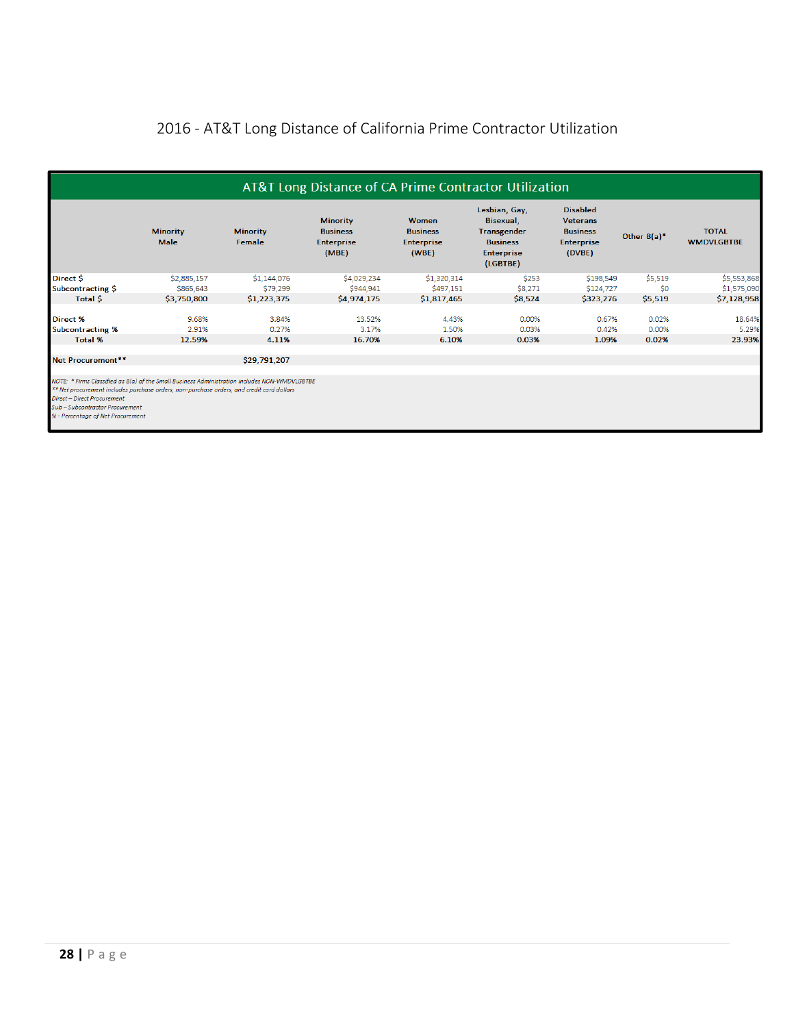## 2016 ‐ AT&T Long Distance of California Prime Contractor Utilization

|                                                                                               |                         |                           | AT&T Long Distance of CA Prime Contractor Utilization            |                                                        |                                                                                               |                                                                               |                |                                   |
|-----------------------------------------------------------------------------------------------|-------------------------|---------------------------|------------------------------------------------------------------|--------------------------------------------------------|-----------------------------------------------------------------------------------------------|-------------------------------------------------------------------------------|----------------|-----------------------------------|
|                                                                                               | <b>Minority</b><br>Male | <b>Minority</b><br>Female | <b>Minority</b><br><b>Business</b><br><b>Enterprise</b><br>(MBE) | Women<br><b>Business</b><br><b>Enterprise</b><br>(WBE) | Lesbian, Gay,<br>Bisexual,<br>Transgender<br><b>Business</b><br><b>Enterprise</b><br>(LGBTBE) | <b>Disabled</b><br><b>Veterans</b><br><b>Business</b><br>Enterprise<br>(DVBE) | Other $8(a)^*$ | <b>TOTAL</b><br><b>WMDVLGBTBE</b> |
| Direct \$                                                                                     | \$2,885,157             | \$1,144,076               | \$4,029,234                                                      | \$1,320,314                                            | \$253                                                                                         | \$198,549                                                                     | \$5,519        | \$5,553,868                       |
| Subcontracting \$                                                                             | \$865,643               | \$79,299                  | \$944,941                                                        | \$497,151                                              | \$8,271                                                                                       | \$124,727                                                                     | \$0            | \$1,575,090                       |
| Total \$                                                                                      | \$3,750,800             | \$1,223,375               | \$4,974,175                                                      | \$1,817,465                                            | \$8,524                                                                                       | \$323,276                                                                     | \$5,519        | \$7,128,958                       |
| Direct %                                                                                      | 9.68%                   | 3.84%                     | 13.52%                                                           | 4.43%                                                  | 0.00%                                                                                         | 0.67%                                                                         | 0.02%          | 18.64%                            |
| <b>Subcontracting %</b>                                                                       | 2.91%                   | 0.27%                     | 3.17%                                                            | 1.50%                                                  | 0.03%                                                                                         | 0.42%                                                                         | 0.00%          | 5.29%                             |
| <b>Total %</b>                                                                                | 12.59%                  | 4.11%                     | 16.70%                                                           | 6.10%                                                  | 0.03%                                                                                         | 1.09%                                                                         | 0.02%          | 23.93%                            |
| Net Procurement**                                                                             |                         | \$29,791,207              |                                                                  |                                                        |                                                                                               |                                                                               |                |                                   |
| NOTE: * Firms Classified as 8(a) of the Small Business Administration includes NON-WMDVLGBTBE |                         |                           |                                                                  |                                                        |                                                                                               |                                                                               |                |                                   |

First procurement includes purchase orders, non-purchase orders, and credit card dollars<br>Direct – Direct Procurement<br>Sub – Subcontractor Procurement<br>Sub – Subcontractor Procurement<br>% - Percentage of Net Procurement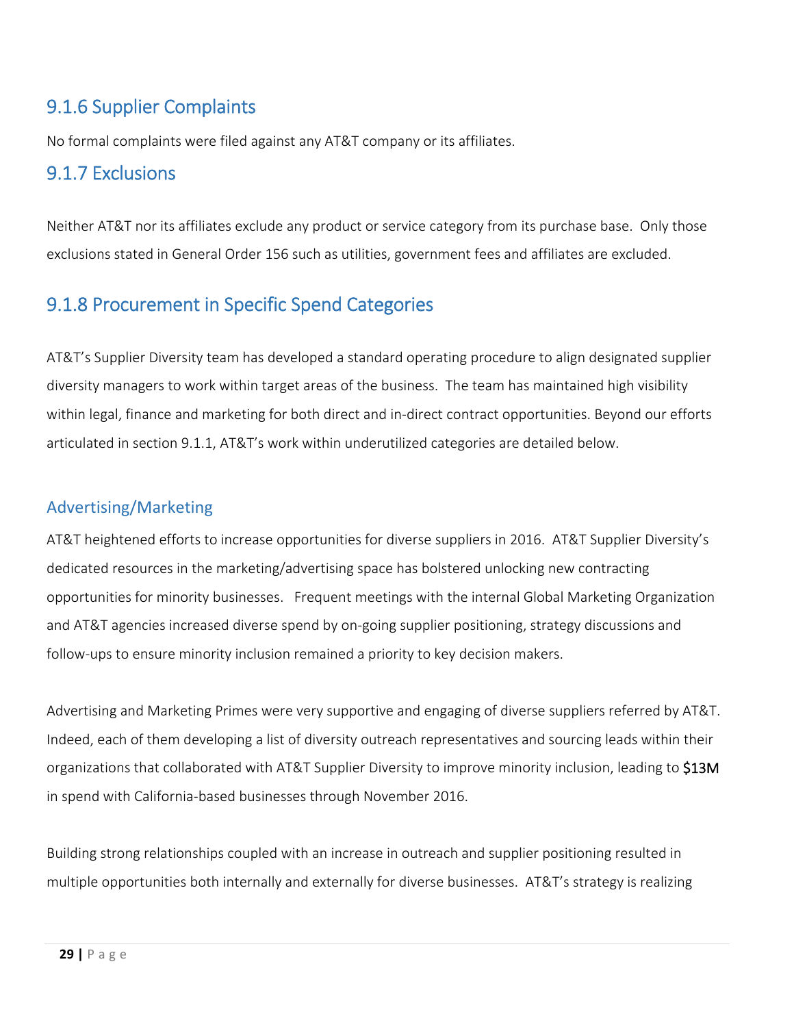## 9.1.6 Supplier Complaints

No formal complaints were filed against any AT&T company or its affiliates.

### 9.1.7 Exclusions

Neither AT&T nor its affiliates exclude any product or service category from its purchase base. Only those exclusions stated in General Order 156 such as utilities, government fees and affiliates are excluded.

## 9.1.8 Procurement in Specific Spend Categories

AT&T's Supplier Diversity team has developed a standard operating procedure to align designated supplier diversity managers to work within target areas of the business. The team has maintained high visibility within legal, finance and marketing for both direct and in‐direct contract opportunities. Beyond our efforts articulated in section 9.1.1, AT&T's work within underutilized categories are detailed below.

### Advertising/Marketing

AT&T heightened efforts to increase opportunities for diverse suppliers in 2016. AT&T Supplier Diversity's dedicated resources in the marketing/advertising space has bolstered unlocking new contracting opportunities for minority businesses. Frequent meetings with the internal Global Marketing Organization and AT&T agencies increased diverse spend by on-going supplier positioning, strategy discussions and follow-ups to ensure minority inclusion remained a priority to key decision makers.

Advertising and Marketing Primes were very supportive and engaging of diverse suppliers referred by AT&T. Indeed, each of them developing a list of diversity outreach representatives and sourcing leads within their organizations that collaborated with AT&T Supplier Diversity to improve minority inclusion, leading to \$13M in spend with California‐based businesses through November 2016.

Building strong relationships coupled with an increase in outreach and supplier positioning resulted in multiple opportunities both internally and externally for diverse businesses. AT&T's strategy is realizing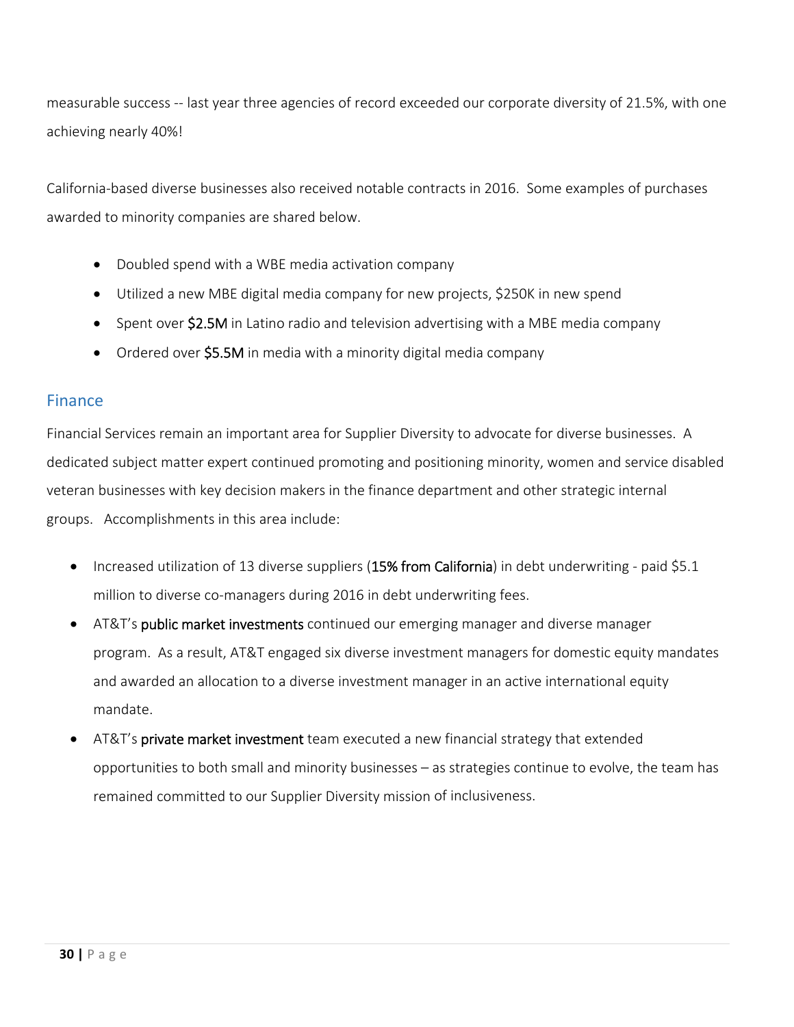measurable success ‐‐ last year three agencies of record exceeded our corporate diversity of 21.5%, with one achieving nearly 40%!

California‐based diverse businesses also received notable contracts in 2016. Some examples of purchases awarded to minority companies are shared below.

- Doubled spend with a WBE media activation company
- Utilized a new MBE digital media company for new projects, \$250K in new spend
- Spent over **\$2.5M** in Latino radio and television advertising with a MBE media company
- Ordered over \$5.5M in media with a minority digital media company

#### **Finance**

Financial Services remain an important area for Supplier Diversity to advocate for diverse businesses. A dedicated subject matter expert continued promoting and positioning minority, women and service disabled veteran businesses with key decision makers in the finance department and other strategic internal groups. Accomplishments in this area include:

- Increased utilization of 13 diverse suppliers (15% from California) in debt underwriting paid \$5.1 million to diverse co-managers during 2016 in debt underwriting fees.
- AT&T's public market investments continued our emerging manager and diverse manager program. As a result, AT&T engaged six diverse investment managers for domestic equity mandates and awarded an allocation to a diverse investment manager in an active international equity mandate.
- AT&T's **private market investment** team executed a new financial strategy that extended opportunities to both small and minority businesses – as strategies continue to evolve, the team has remained committed to our Supplier Diversity mission of inclusiveness.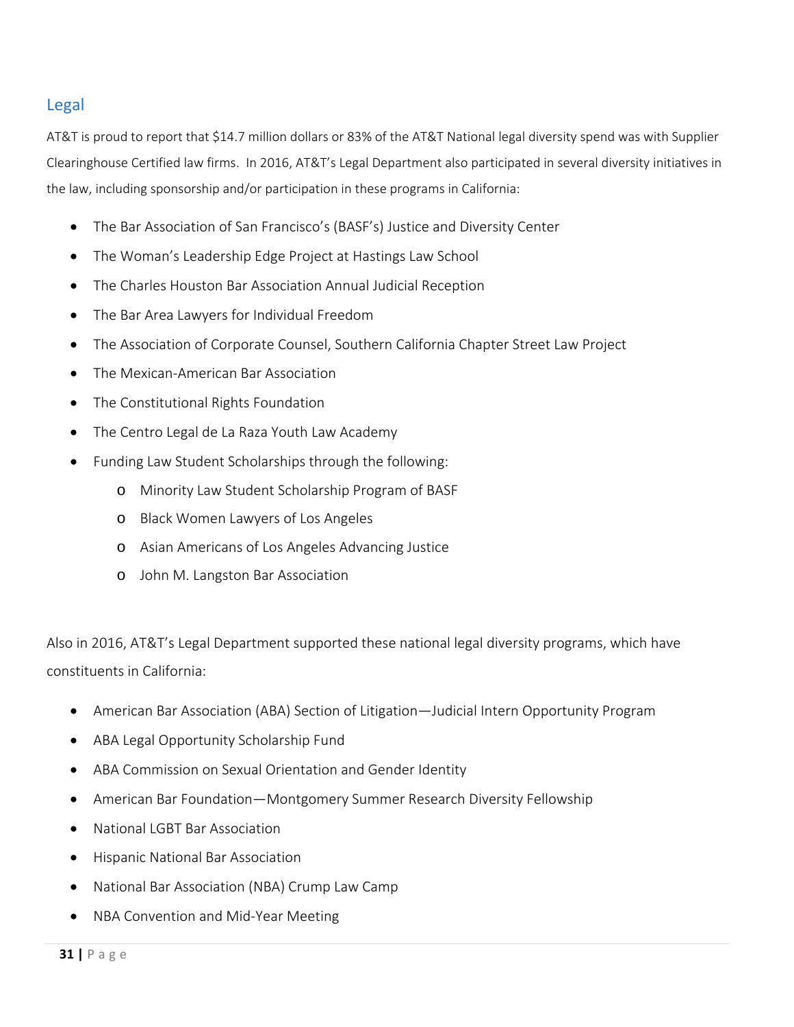### Legal

AT&T is proud to report that \$14.7 million dollars or 83% of the AT&T National legal diversity spend was with Supplier Clearinghouse Certified law firms. In 2016, AT&T's Legal Department also participated in several diversity initiatives in the law, including sponsorship and/or participation in these programs in California:

- The Bar Association of San Francisco's (BASF's) Justice and Diversity Center
- The Woman's Leadership Edge Project at Hastings Law School
- The Charles Houston Bar Association Annual Judicial Reception
- The Bar Area Lawyers for Individual Freedom
- The Association of Corporate Counsel, Southern California Chapter Street Law Project
- The Mexican‐American Bar Association
- The Constitutional Rights Foundation
- The Centro Legal de La Raza Youth Law Academy
- Funding Law Student Scholarships through the following:
	- o Minority Law Student Scholarship Program of BASF
	- o Black Women Lawyers of Los Angeles
	- o Asian Americans of Los Angeles Advancing Justice
	- o John M. Langston Bar Association

Also in 2016, AT&T's Legal Department supported these national legal diversity programs, which have constituents in California:

- American Bar Association (ABA) Section of Litigation—Judicial Intern Opportunity Program
- ABA Legal Opportunity Scholarship Fund
- ABA Commission on Sexual Orientation and Gender Identity
- American Bar Foundation—Montgomery Summer Research Diversity Fellowship
- National LGBT Bar Association
- Hispanic National Bar Association
- National Bar Association (NBA) Crump Law Camp
- NBA Convention and Mid-Year Meeting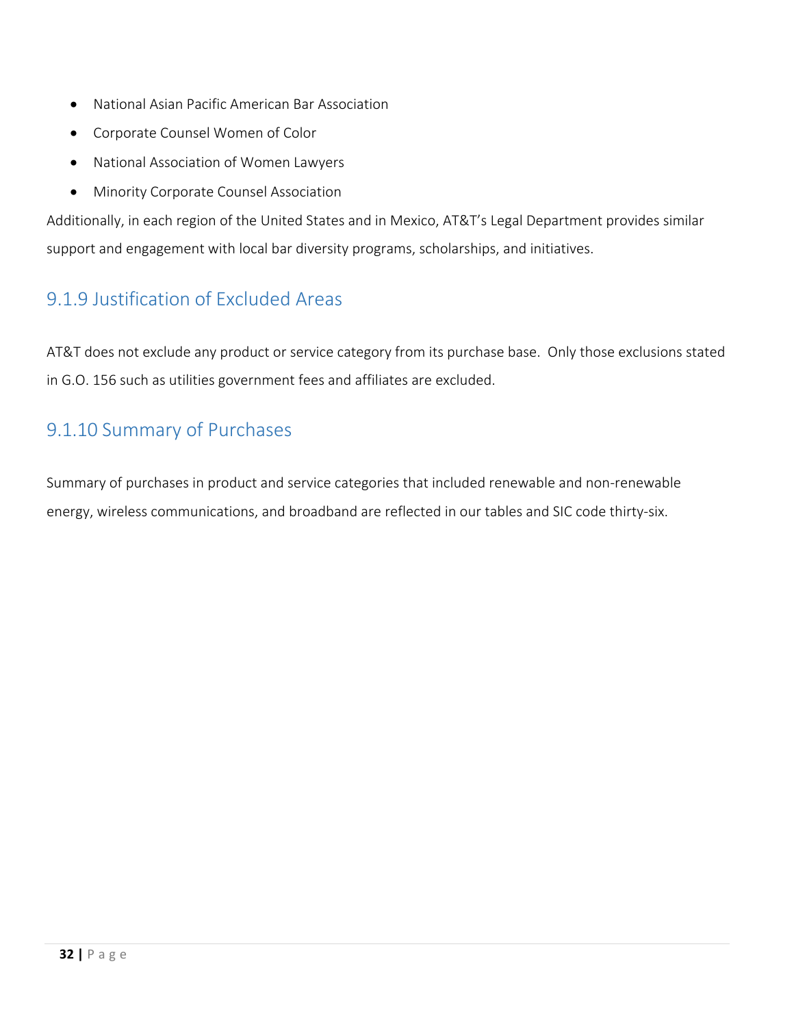- National Asian Pacific American Bar Association
- Corporate Counsel Women of Color
- National Association of Women Lawyers
- Minority Corporate Counsel Association

Additionally, in each region of the United States and in Mexico, AT&T's Legal Department provides similar support and engagement with local bar diversity programs, scholarships, and initiatives.

# 9.1.9 Justification of Excluded Areas

AT&T does not exclude any product or service category from its purchase base. Only those exclusions stated in G.O. 156 such as utilities government fees and affiliates are excluded.

## 9.1.10 Summary of Purchases

Summary of purchases in product and service categories that included renewable and non‐renewable energy, wireless communications, and broadband are reflected in our tables and SIC code thirty‐six.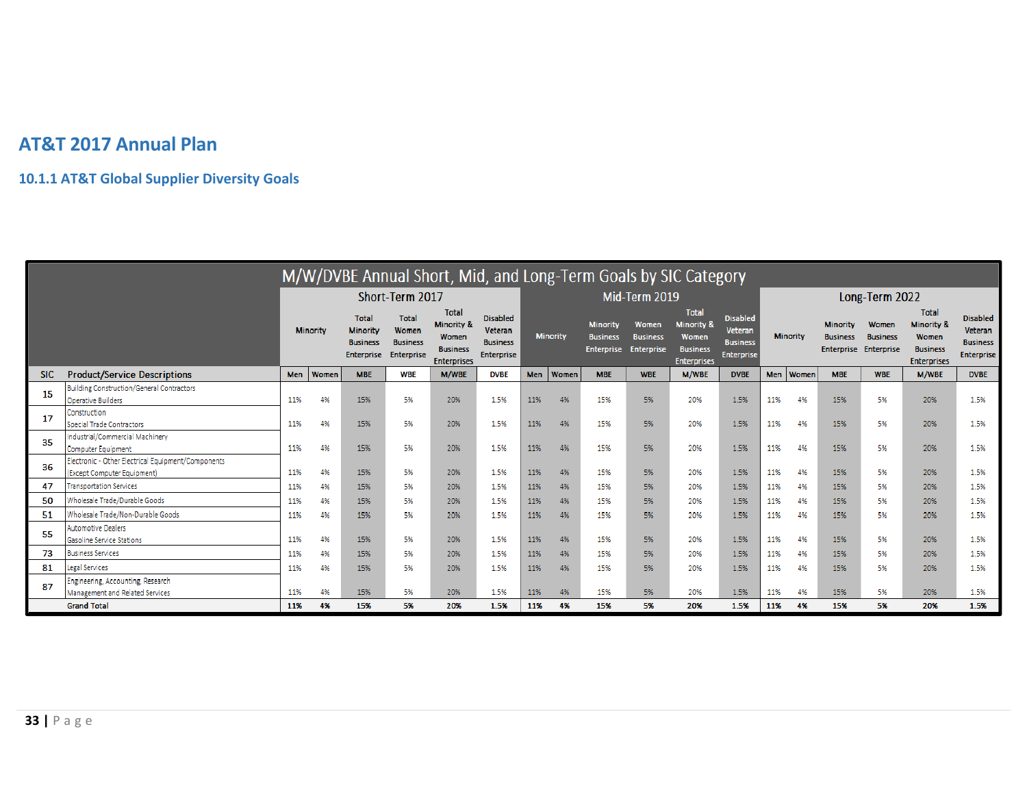### **AT&T 2017 Annual Plan**

#### **10.1.1 AT&T Global Supplier Diversity Goals**

|            | M/W/DVBE Annual Short, Mid, and Long-Term Goals by SIC Category                   |                 |       |                                                                                                                            |                 |                                                                                         |                                                                    |            |                 |                                                         |                                               |                                                                                         |                                                                    |                 |       |                                                  |                                               |                                                                                         |                                                                    |
|------------|-----------------------------------------------------------------------------------|-----------------|-------|----------------------------------------------------------------------------------------------------------------------------|-----------------|-----------------------------------------------------------------------------------------|--------------------------------------------------------------------|------------|-----------------|---------------------------------------------------------|-----------------------------------------------|-----------------------------------------------------------------------------------------|--------------------------------------------------------------------|-----------------|-------|--------------------------------------------------|-----------------------------------------------|-----------------------------------------------------------------------------------------|--------------------------------------------------------------------|
|            |                                                                                   |                 |       |                                                                                                                            | Short-Term 2017 |                                                                                         |                                                                    |            |                 |                                                         | Mid-Term 2019                                 |                                                                                         |                                                                    | Long-Term 2022  |       |                                                  |                                               |                                                                                         |                                                                    |
|            |                                                                                   | <b>Minority</b> |       | <b>Total</b><br><b>Total</b><br>Women<br><b>Minority</b><br><b>Business</b><br><b>Business</b><br>Enterprise<br>Enterprise |                 | <b>Total</b><br><b>Minority &amp;</b><br>Women<br><b>Business</b><br><b>Enterprises</b> | <b>Disabled</b><br>Veteran<br><b>Business</b><br><b>Enterprise</b> |            | <b>Minority</b> | <b>Minority</b><br><b>Business</b><br><b>Enterprise</b> | Women<br><b>Business</b><br><b>Enterprise</b> | <b>Total</b><br><b>Minority &amp;</b><br>Women<br><b>Business</b><br><b>Enterprises</b> | <b>Disabled</b><br>Veteran<br><b>Business</b><br><b>Enterprise</b> | <b>Minority</b> |       | <b>Minority</b><br><b>Business</b><br>Enterprise | Women<br><b>Business</b><br><b>Enterprise</b> | <b>Total</b><br><b>Minority &amp;</b><br>Women<br><b>Business</b><br><b>Enterprises</b> | <b>Disabled</b><br>Veteran<br><b>Business</b><br><b>Enterprise</b> |
| <b>SIC</b> | <b>Product/Service Descriptions</b>                                               | <b>Men</b>      | Women | <b>MBE</b>                                                                                                                 | <b>WBE</b>      | <b>M/WBE</b>                                                                            | <b>DVBE</b>                                                        | <b>Men</b> | Women           | <b>MBE</b>                                              | <b>WBE</b>                                    | <b>M/WBE</b>                                                                            | <b>DVBE</b>                                                        | <b>Men</b>      | Women | <b>MBE</b>                                       | <b>WBE</b>                                    | <b>M/WBE</b>                                                                            | <b>DVBE</b>                                                        |
| 15         | Building Construction/General Contractors<br>Operative Builders                   | 11%             | 4%    | 15%                                                                                                                        | 5%              | 20%                                                                                     | 1.5%                                                               | 11%        | 4%              | 15%                                                     | 5%                                            | 20%                                                                                     | 1.5%                                                               | 11%             | 4%    | 15%                                              | 5%                                            | 20%                                                                                     | 1.5%                                                               |
| 17         | Construction<br>Special Trade Contractors                                         | 11%             | 4%    | 15%                                                                                                                        | 5%              | 20%                                                                                     | 1.5%                                                               | 11%        | 4%              | 15%                                                     | 5%                                            | 20%                                                                                     | 1.5%                                                               | 11%             | 4%    | 15%                                              | 5%                                            | 20%                                                                                     | 1.5%                                                               |
| 35         | Industrial/Commercial Machinery<br>Computer Equipment                             | 11%             | 4%    | 15%                                                                                                                        | 5%              | 20%                                                                                     | 1.5%                                                               | 11%        | 4%              | 15%                                                     | 5%                                            | 20%                                                                                     | 1.5%                                                               | 11%             | 4%    | 15%                                              | 5%                                            | 20%                                                                                     | 1.5%                                                               |
| 36         | Electronic - Other Electrical Equipment/Components<br>(Except Computer Equipment) | 11%             | 4%    | 15%                                                                                                                        | 5%              | 20%                                                                                     | 1.5%                                                               | 11%        | 4%              | 15%                                                     | 5%                                            | 20%                                                                                     | 1.5%                                                               | 11%             | 4%    | 15%                                              | 5%                                            | 20%                                                                                     | 1.5%                                                               |
| 47         | <b>Transportation Services</b>                                                    | 11%             | 4%    | 15%                                                                                                                        | 5%              | 20%                                                                                     | 1.5%                                                               | 11%        | 4%              | 15%                                                     | 5%                                            | 20%                                                                                     | 1.5%                                                               | 11%             | 4%    | 15%                                              | 5%                                            | 20%                                                                                     | 1.5%                                                               |
| 50         | Wholesale Trade/Durable Goods                                                     | 11%             | 4%    | 15%                                                                                                                        | 5%              | 20%                                                                                     | 1.5%                                                               | 11%        | 4%              | 15%                                                     | 5%                                            | 20%                                                                                     | 1.5%                                                               | 11%             | 4%    | 15%                                              | 5%                                            | 20%                                                                                     | 1.5%                                                               |
| 51         | Wholesale Trade/Non-Durable Goods                                                 | 11%             | 4%    | 15%                                                                                                                        | 5%              | 20%                                                                                     | 1.5%                                                               | 11%        | 4%              | 15%                                                     | 5%                                            | 20%                                                                                     | 1.5%                                                               | 11%             | 4%    | 15%                                              | 5%                                            | 20%                                                                                     | 1.5%                                                               |
| 55         | <b>Automotive Dealers</b><br><b>Gasoline Service Stations</b>                     | 11%             | 4%    | 15%                                                                                                                        | 5%              | 20%                                                                                     | 1.5%                                                               | 11%        | 4%              | 15%                                                     | 5%                                            | 20%                                                                                     | 1.5%                                                               | 11%             | 4%    | 15%                                              | 5%                                            | 20%                                                                                     | 1.5%                                                               |
| 73         | <b>Business Services</b>                                                          | 11%             | 4%    | 15%                                                                                                                        | 5%              | 20%                                                                                     | 1.5%                                                               | 11%        | 4%              | 15%                                                     | 5%                                            | 20%                                                                                     | 1.5%                                                               | 11%             | 4%    | 15%                                              | 5%                                            | 20%                                                                                     | 1.5%                                                               |
| 81         | Legal Services                                                                    | 11%             | 4%    | 15%                                                                                                                        | 5%              | 20%                                                                                     | 1.5%                                                               | 11%        | 4%              | 15%                                                     | 5%                                            | 20%                                                                                     | 1.5%                                                               | 11%             | 4%    | 15%                                              | 5%                                            | 20%                                                                                     | 1.5%                                                               |
| 87         | Engineering, Accounting, Research<br>Management and Related Services              | 11%             | 4%    | 15%                                                                                                                        | 5%              | 20%                                                                                     | 1.5%                                                               | 11%        | 4%              | 15%                                                     | 5%                                            | 20%                                                                                     | 1.5%                                                               | 11%             | 4%    | 15%                                              | 5%                                            | 20%                                                                                     | 1.5%                                                               |
|            | <b>Grand Total</b>                                                                | 11%             | 4%    | 15%                                                                                                                        | 5%              | 20%                                                                                     | 1.5%                                                               | 11%        | 4%              | 15%                                                     | 5%                                            | 20%                                                                                     | 1.5%                                                               | 11%             | 4%    | 15%                                              | 5%                                            | 20%                                                                                     | 1.5%                                                               |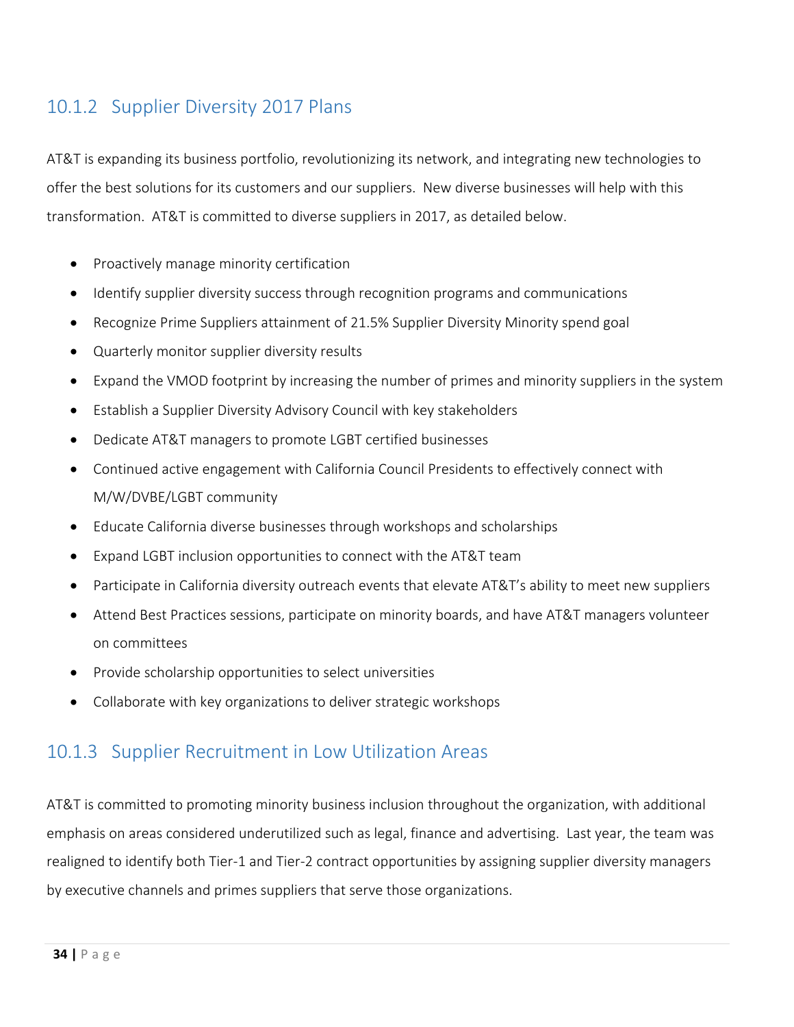## 10.1.2 Supplier Diversity 2017 Plans

AT&T is expanding its business portfolio, revolutionizing its network, and integrating new technologies to offer the best solutions for its customers and our suppliers. New diverse businesses will help with this transformation. AT&T is committed to diverse suppliers in 2017, as detailed below.

- Proactively manage minority certification
- Identify supplier diversity success through recognition programs and communications
- Recognize Prime Suppliers attainment of 21.5% Supplier Diversity Minority spend goal
- Quarterly monitor supplier diversity results
- Expand the VMOD footprint by increasing the number of primes and minority suppliers in the system
- Establish a Supplier Diversity Advisory Council with key stakeholders
- Dedicate AT&T managers to promote LGBT certified businesses
- Continued active engagement with California Council Presidents to effectively connect with M/W/DVBE/LGBT community
- Educate California diverse businesses through workshops and scholarships
- Expand LGBT inclusion opportunities to connect with the AT&T team
- Participate in California diversity outreach events that elevate AT&T's ability to meet new suppliers
- Attend Best Practices sessions, participate on minority boards, and have AT&T managers volunteer on committees
- Provide scholarship opportunities to select universities
- Collaborate with key organizations to deliver strategic workshops

### 10.1.3 Supplier Recruitment in Low Utilization Areas

AT&T is committed to promoting minority business inclusion throughout the organization, with additional emphasis on areas considered underutilized such as legal, finance and advertising. Last year, the team was realigned to identify both Tier‐1 and Tier‐2 contract opportunities by assigning supplier diversity managers by executive channels and primes suppliers that serve those organizations.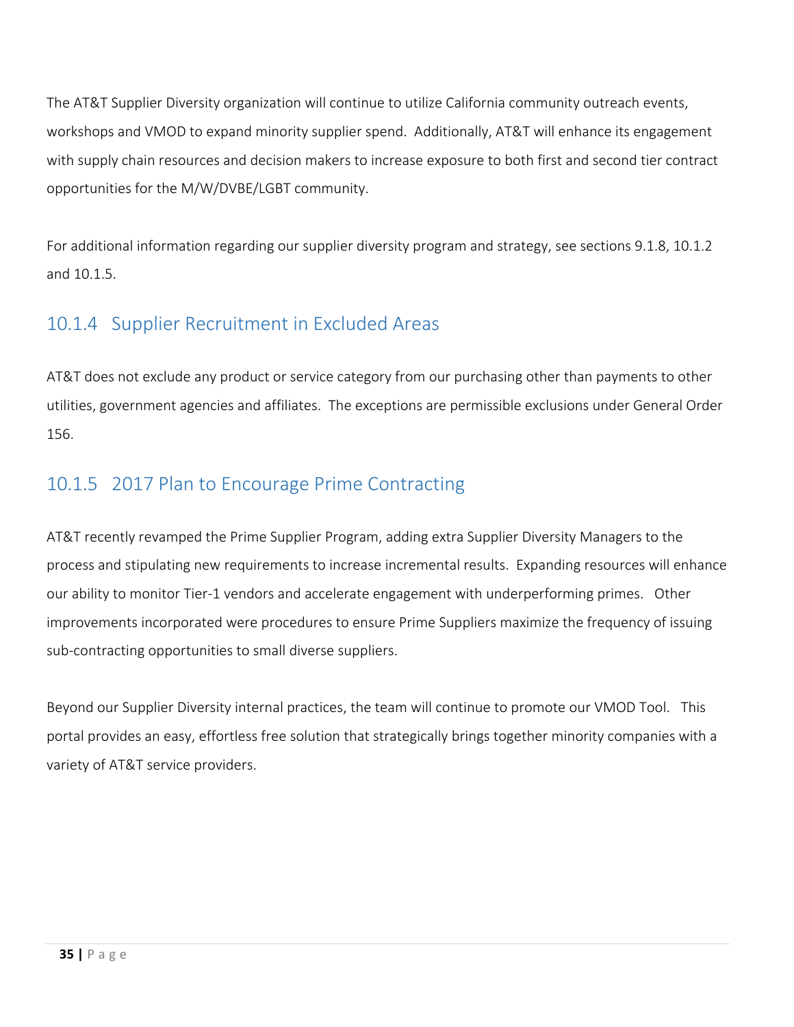The AT&T Supplier Diversity organization will continue to utilize California community outreach events, workshops and VMOD to expand minority supplier spend. Additionally, AT&T will enhance its engagement with supply chain resources and decision makers to increase exposure to both first and second tier contract opportunities for the M/W/DVBE/LGBT community.

For additional information regarding our supplier diversity program and strategy, see sections 9.1.8, 10.1.2 and 10.1.5.

## 10.1.4 Supplier Recruitment in Excluded Areas

AT&T does not exclude any product or service category from our purchasing other than payments to other utilities, government agencies and affiliates. The exceptions are permissible exclusions under General Order 156.

## 10.1.5 2017 Plan to Encourage Prime Contracting

AT&T recently revamped the Prime Supplier Program, adding extra Supplier Diversity Managers to the process and stipulating new requirements to increase incremental results. Expanding resources will enhance our ability to monitor Tier-1 vendors and accelerate engagement with underperforming primes. Other improvements incorporated were procedures to ensure Prime Suppliers maximize the frequency of issuing sub‐contracting opportunities to small diverse suppliers.

Beyond our Supplier Diversity internal practices, the team will continue to promote our VMOD Tool. This portal provides an easy, effortless free solution that strategically brings together minority companies with a variety of AT&T service providers.